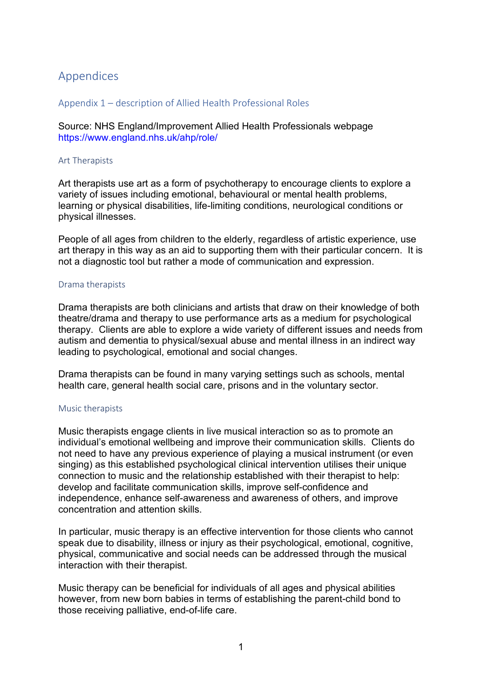## Appendices

## Appendix 1 – description of Allied Health Professional Roles

Source: NHS England/Improvement Allied Health Professionals webpage <https://www.england.nhs.uk/ahp/role/>

#### Art Therapists

Art therapists use art as a form of psychotherapy to encourage clients to explore a variety of issues including emotional, behavioural or mental health problems, learning or physical disabilities, life-limiting conditions, neurological conditions or physical illnesses.

People of all ages from children to the elderly, regardless of artistic experience, use art therapy in this way as an aid to supporting them with their particular concern. It is not a diagnostic tool but rather a mode of communication and expression.

#### Drama therapists

Drama therapists are both clinicians and artists that draw on their knowledge of both theatre/drama and therapy to use performance arts as a medium for psychological therapy. Clients are able to explore a wide variety of different issues and needs from autism and dementia to physical/sexual abuse and mental illness in an indirect way leading to psychological, emotional and social changes.

Drama therapists can be found in many varying settings such as schools, mental health care, general health social care, prisons and in the voluntary sector.

## Music therapists

Music therapists engage clients in live musical interaction so as to promote an individual's emotional wellbeing and improve their communication skills. Clients do not need to have any previous experience of playing a musical instrument (or even singing) as this established psychological clinical intervention utilises their unique connection to music and the relationship established with their therapist to help: develop and facilitate communication skills, improve self-confidence and independence, enhance self-awareness and awareness of others, and improve concentration and attention skills.

In particular, music therapy is an effective intervention for those clients who cannot speak due to disability, illness or injury as their psychological, emotional, cognitive, physical, communicative and social needs can be addressed through the musical interaction with their therapist.

Music therapy can be beneficial for individuals of all ages and physical abilities however, from new born babies in terms of establishing the parent-child bond to those receiving palliative, end-of-life care.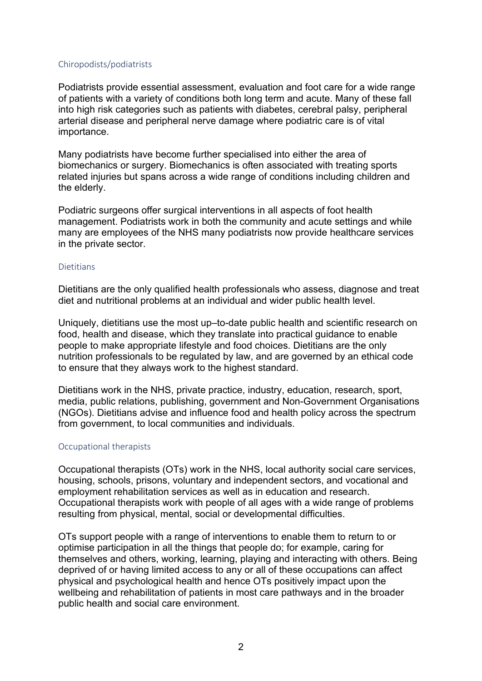## Chiropodists/podiatrists

Podiatrists provide essential assessment, evaluation and foot care for a wide range of patients with a variety of conditions both long term and acute. Many of these fall into high risk categories such as patients with diabetes, cerebral palsy, peripheral arterial disease and peripheral nerve damage where podiatric care is of vital importance.

Many podiatrists have become further specialised into either the area of biomechanics or surgery. Biomechanics is often associated with treating sports related injuries but spans across a wide range of conditions including children and the elderly.

Podiatric surgeons offer surgical interventions in all aspects of foot health management. Podiatrists work in both the community and acute settings and while many are employees of the NHS many podiatrists now provide healthcare services in the private sector.

## **Dietitians**

Dietitians are the only qualified health professionals who assess, diagnose and treat diet and nutritional problems at an individual and wider public health level.

Uniquely, dietitians use the most up–to-date public health and scientific research on food, health and disease, which they translate into practical guidance to enable people to make appropriate lifestyle and food choices. Dietitians are the only nutrition professionals to be regulated by law, and are governed by an ethical code to ensure that they always work to the highest standard.

Dietitians work in the NHS, private practice, industry, education, research, sport, media, public relations, publishing, government and Non-Government Organisations (NGOs). Dietitians advise and influence food and health policy across the spectrum from government, to local communities and individuals.

## Occupational therapists

Occupational therapists (OTs) work in the NHS, local authority social care services, housing, schools, prisons, voluntary and independent sectors, and vocational and employment rehabilitation services as well as in education and research. Occupational therapists work with people of all ages with a wide range of problems resulting from physical, mental, social or developmental difficulties.

OTs support people with a range of interventions to enable them to return to or optimise participation in all the things that people do; for example, caring for themselves and others, working, learning, playing and interacting with others. Being deprived of or having limited access to any or all of these occupations can affect physical and psychological health and hence OTs positively impact upon the wellbeing and rehabilitation of patients in most care pathways and in the broader public health and social care environment.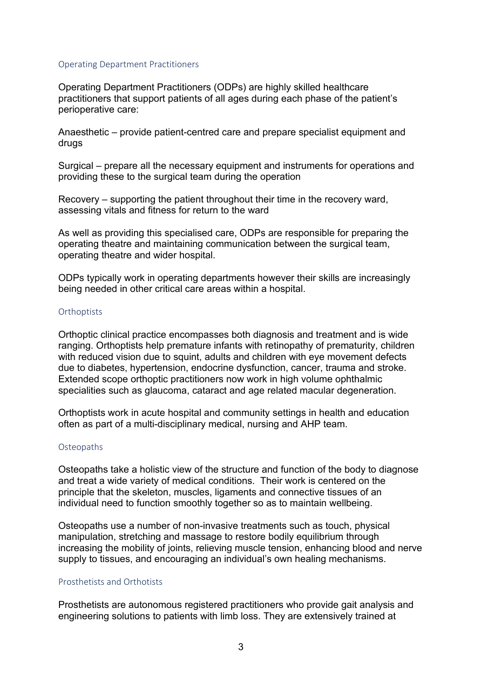## Operating Department Practitioners

Operating Department Practitioners (ODPs) are highly skilled healthcare practitioners that support patients of all ages during each phase of the patient's perioperative care:

Anaesthetic – provide patient-centred care and prepare specialist equipment and drugs

Surgical – prepare all the necessary equipment and instruments for operations and providing these to the surgical team during the operation

Recovery – supporting the patient throughout their time in the recovery ward, assessing vitals and fitness for return to the ward

As well as providing this specialised care, ODPs are responsible for preparing the operating theatre and maintaining communication between the surgical team, operating theatre and wider hospital.

ODPs typically work in operating departments however their skills are increasingly being needed in other critical care areas within a hospital.

#### **Orthoptists**

Orthoptic clinical practice encompasses both diagnosis and treatment and is wide ranging. Orthoptists help premature infants with retinopathy of prematurity, children with reduced vision due to squint, adults and children with eye movement defects due to diabetes, hypertension, endocrine dysfunction, cancer, trauma and stroke. Extended scope orthoptic practitioners now work in high volume ophthalmic specialities such as glaucoma, cataract and age related macular degeneration.

Orthoptists work in acute hospital and community settings in health and education often as part of a multi-disciplinary medical, nursing and AHP team.

## **Osteopaths**

Osteopaths take a holistic view of the structure and function of the body to diagnose and treat a wide variety of medical conditions. Their work is centered on the principle that the skeleton, muscles, ligaments and connective tissues of an individual need to function smoothly together so as to maintain wellbeing.

Osteopaths use a number of non-invasive treatments such as touch, physical manipulation, stretching and massage to restore bodily equilibrium through increasing the mobility of joints, relieving muscle tension, enhancing blood and nerve supply to tissues, and encouraging an individual's own healing mechanisms.

### Prosthetists and Orthotists

Prosthetists are autonomous registered practitioners who provide gait analysis and engineering solutions to patients with limb loss. They are extensively trained at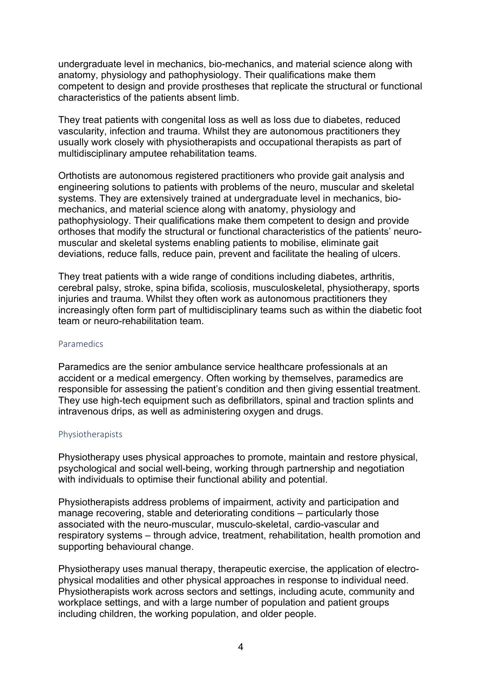undergraduate level in mechanics, bio-mechanics, and material science along with anatomy, physiology and pathophysiology. Their qualifications make them competent to design and provide prostheses that replicate the structural or functional characteristics of the patients absent limb.

They treat patients with congenital loss as well as loss due to diabetes, reduced vascularity, infection and trauma. Whilst they are autonomous practitioners they usually work closely with physiotherapists and occupational therapists as part of multidisciplinary amputee rehabilitation teams.

Orthotists are autonomous registered practitioners who provide gait analysis and engineering solutions to patients with problems of the neuro, muscular and skeletal systems. They are extensively trained at undergraduate level in mechanics, biomechanics, and material science along with anatomy, physiology and pathophysiology. Their qualifications make them competent to design and provide orthoses that modify the structural or functional characteristics of the patients' neuromuscular and skeletal systems enabling patients to mobilise, eliminate gait deviations, reduce falls, reduce pain, prevent and facilitate the healing of ulcers.

They treat patients with a wide range of conditions including diabetes, arthritis, cerebral palsy, stroke, spina bifida, scoliosis, musculoskeletal, physiotherapy, sports injuries and trauma. Whilst they often work as autonomous practitioners they increasingly often form part of multidisciplinary teams such as within the diabetic foot team or neuro-rehabilitation team.

## **Paramedics**

Paramedics are the senior ambulance service healthcare professionals at an accident or a medical emergency. Often working by themselves, paramedics are responsible for assessing the patient's condition and then giving essential treatment. They use high-tech equipment such as defibrillators, spinal and traction splints and intravenous drips, as well as administering oxygen and drugs.

## Physiotherapists

Physiotherapy uses physical approaches to promote, maintain and restore physical, psychological and social well-being, working through partnership and negotiation with individuals to optimise their functional ability and potential.

Physiotherapists address problems of impairment, activity and participation and manage recovering, stable and deteriorating conditions – particularly those associated with the neuro-muscular, musculo-skeletal, cardio-vascular and respiratory systems – through advice, treatment, rehabilitation, health promotion and supporting behavioural change.

Physiotherapy uses manual therapy, therapeutic exercise, the application of electrophysical modalities and other physical approaches in response to individual need. Physiotherapists work across sectors and settings, including acute, community and workplace settings, and with a large number of population and patient groups including children, the working population, and older people.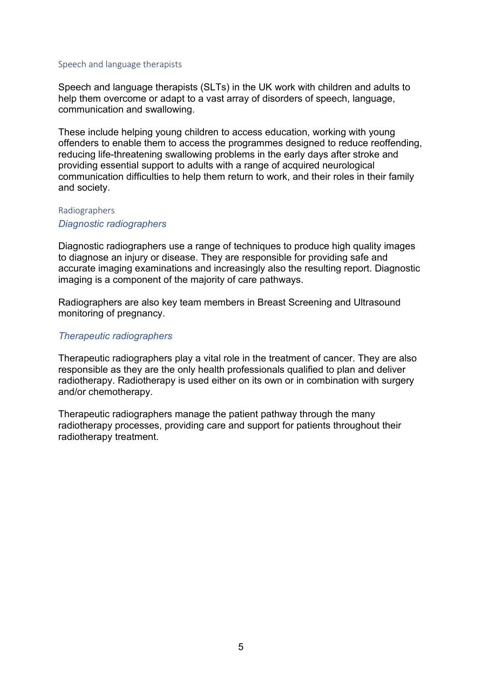#### Speech and language therapists

Speech and language therapists (SLTs) in the UK work with children and adults to help them overcome or adapt to a vast array of disorders of speech, language, communication and swallowing.

These include helping young children to access education, working with young offenders to enable them to access the programmes designed to reduce reoffending, reducing life-threatening swallowing problems in the early days after stroke and providing essential support to adults with a range of acquired neurological communication difficulties to help them return to work, and their roles in their family and society.

#### Radiographers

## *Diagnostic radiographers*

Diagnostic radiographers use a range of techniques to produce high quality images to diagnose an injury or disease. They are responsible for providing safe and accurate imaging examinations and increasingly also the resulting report. Diagnostic imaging is a component of the majority of care pathways.

Radiographers are also key team members in Breast Screening and Ultrasound monitoring of pregnancy.

## *Therapeutic radiographers*

Therapeutic radiographers play a vital role in the treatment of cancer. They are also responsible as they are the only health professionals qualified to plan and deliver radiotherapy. Radiotherapy is used either on its own or in combination with surgery and/or chemotherapy.

Therapeutic radiographers manage the patient pathway through the many radiotherapy processes, providing care and support for patients throughout their radiotherapy treatment.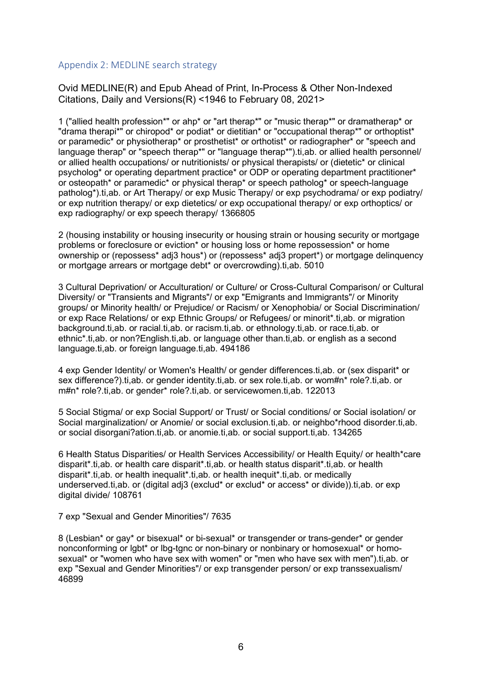## Appendix 2: MEDLINE search strategy

Ovid MEDLINE(R) and Epub Ahead of Print, In-Process & Other Non-Indexed Citations, Daily and Versions(R) <1946 to February 08, 2021>

1 ("allied health profession\*" or ahp\* or "art therap\*" or "music therap\*" or dramatherap\* or "drama therapi\*" or chiropod\* or podiat\* or dietitian\* or "occupational therap\*" or orthoptist\* or paramedic\* or physiotherap\* or prosthetist\* or orthotist\* or radiographer\* or "speech and language therap" or "speech therap\*" or "language therap\*") ti, ab. or allied health personnel/ or allied health occupations/ or nutritionists/ or physical therapists/ or (dietetic\* or clinical psycholog\* or operating department practice\* or ODP or operating department practitioner\* or osteopath\* or paramedic\* or physical therap\* or speech patholog\* or speech-language patholog\*).ti,ab. or Art Therapy/ or exp Music Therapy/ or exp psychodrama/ or exp podiatry/ or exp nutrition therapy/ or exp dietetics/ or exp occupational therapy/ or exp orthoptics/ or exp radiography/ or exp speech therapy/ 1366805

2 (housing instability or housing insecurity or housing strain or housing security or mortgage problems or foreclosure or eviction\* or housing loss or home repossession\* or home ownership or (repossess\* adj3 hous\*) or (repossess\* adj3 propert\*) or mortgage delinquency or mortgage arrears or mortgage debt\* or overcrowding).ti,ab. 5010

3 Cultural Deprivation/ or Acculturation/ or Culture/ or Cross-Cultural Comparison/ or Cultural Diversity/ or "Transients and Migrants"/ or exp "Emigrants and Immigrants"/ or Minority groups/ or Minority health/ or Prejudice/ or Racism/ or Xenophobia/ or Social Discrimination/ or exp Race Relations/ or exp Ethnic Groups/ or Refugees/ or minorit\*.ti,ab. or migration background.ti,ab. or racial.ti,ab. or racism.ti,ab. or ethnology.ti,ab. or race.ti,ab. or ethnic\*.ti,ab. or non?English.ti,ab. or language other than.ti,ab. or english as a second language.ti,ab. or foreign language.ti,ab. 494186

4 exp Gender Identity/ or Women's Health/ or gender differences.ti,ab. or (sex disparit\* or sex difference?).ti,ab. or gender identity.ti,ab. or sex role.ti,ab. or wom#n\* role?.ti,ab. or m#n\* role?.ti,ab. or gender\* role?.ti,ab. or servicewomen.ti,ab. 122013

5 Social Stigma/ or exp Social Support/ or Trust/ or Social conditions/ or Social isolation/ or Social marginalization/ or Anomie/ or social exclusion.ti,ab. or neighbo\*rhood disorder.ti,ab. or social disorgani?ation.ti,ab. or anomie.ti,ab. or social support.ti,ab. 134265

6 Health Status Disparities/ or Health Services Accessibility/ or Health Equity/ or health\*care disparit\*.ti,ab. or health care disparit\*.ti,ab. or health status disparit\*.ti,ab. or health disparit\*.ti,ab. or health inequalit\*.ti,ab. or health inequit\*.ti,ab. or medically underserved.ti,ab. or (digital adj3 (exclud\* or exclud\* or access\* or divide)).ti,ab. or exp digital divide/ 108761

7 exp "Sexual and Gender Minorities"/ 7635

8 (Lesbian\* or gay\* or bisexual\* or bi-sexual\* or transgender or trans-gender\* or gender nonconforming or labt<sup>\*</sup> or lbg-tanc or non-binary or nonbinary or homosexual<sup>\*</sup> or homosexual\* or "women who have sex with women" or "men who have sex with men").ti,ab. or exp "Sexual and Gender Minorities"/ or exp transgender person/ or exp transsexualism/ 46899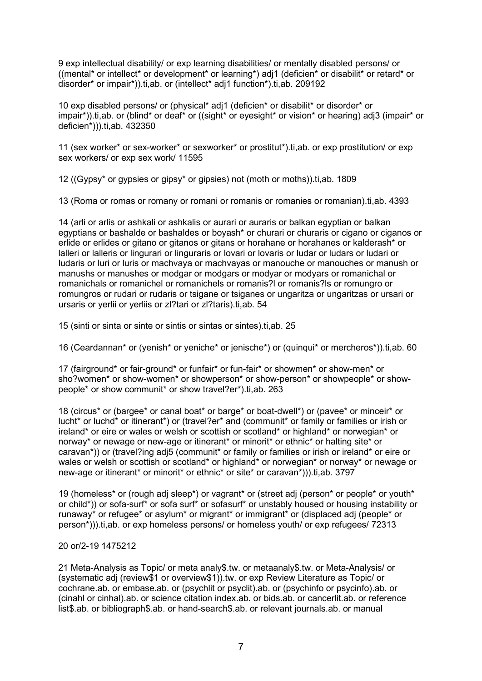9 exp intellectual disability/ or exp learning disabilities/ or mentally disabled persons/ or ((mental\* or intellect\* or development\* or learning\*) adj1 (deficien\* or disabilit\* or retard\* or disorder\* or impair\*)).ti,ab. or (intellect\* adj1 function\*).ti,ab. 209192

10 exp disabled persons/ or (physical\* adj1 (deficien\* or disabilit\* or disorder\* or impair\*)).ti,ab. or (blind\* or deaf\* or ((sight\* or eyesight\* or vision\* or hearing) adj3 (impair\* or deficien\*))).ti,ab. 432350

11 (sex worker\* or sex-worker\* or sexworker\* or prostitut\*).ti,ab. or exp prostitution/ or exp sex workers/ or exp sex work/ 11595

12 ((Gypsy\* or gypsies or gipsy\* or gipsies) not (moth or moths)).ti,ab. 1809

13 (Roma or romas or romany or romani or romanis or romanies or romanian).ti,ab. 4393

14 (arli or arlis or ashkali or ashkalis or aurari or auraris or balkan egyptian or balkan egyptians or bashalde or bashaldes or boyash\* or churari or churaris or cigano or ciganos or erlide or erlides or gitano or gitanos or gitans or horahane or horahanes or kalderash\* or lalleri or lalleris or lingurari or linguraris or lovari or lovaris or ludar or ludars or ludari or ludaris or luri or luris or machvaya or machvayas or manouche or manouches or manush or manushs or manushes or modgar or modgars or modyar or modyars or romanichal or romanichals or romanichel or romanichels or romanis?l or romanis?ls or romungro or romungros or rudari or rudaris or tsigane or tsiganes or ungaritza or ungaritzas or ursari or ursaris or yerlii or yerliis or zl?tari or zl?taris).ti,ab. 54

15 (sinti or sinta or sinte or sintis or sintas or sintes).ti,ab. 25

16 (Ceardannan\* or (yenish\* or yeniche\* or jenische\*) or (quinqui\* or mercheros\*)).ti,ab. 60

17 (fairground\* or fair-ground\* or funfair\* or fun-fair\* or showmen\* or show-men\* or sho?women\* or show-women\* or showperson\* or show-person\* or showpeople\* or showpeople\* or show communit\* or show travel?er\*).ti,ab. 263

18 (circus\* or (bargee\* or canal boat\* or barge\* or boat-dwell\*) or (pavee\* or minceir\* or lucht\* or luchd\* or itinerant\*) or (travel?er\* and (communit\* or family or families or irish or ireland\* or eire or wales or welsh or scottish or scotland\* or highland\* or norwegian\* or norway<sup>\*</sup> or newage or new-age or itinerant<sup>\*</sup> or minorit<sup>\*</sup> or ethnic<sup>\*</sup> or halting site<sup>\*</sup> or caravan\*)) or (travel?ing adj5 (communit\* or family or families or irish or ireland\* or eire or wales or welsh or scottish or scotland\* or highland\* or norwegian\* or norway\* or newage or new-age or itinerant\* or minorit\* or ethnic\* or site\* or caravan\*))).ti,ab. 3797

19 (homeless\* or (rough adj sleep\*) or vagrant\* or (street adj (person\* or people\* or youth\* or child\*)) or sofa-surf\* or sofa surf\* or sofasurf\* or unstably housed or housing instability or runaway\* or refugee\* or asylum\* or migrant\* or immigrant\* or (displaced adj (people\* or person\*))).ti,ab. or exp homeless persons/ or homeless youth/ or exp refugees/ 72313

## 20 or/2-19 1475212

21 Meta-Analysis as Topic/ or meta analy\$.tw. or metaanaly\$.tw. or Meta-Analysis/ or (systematic adj (review\$1 or overview\$1)).tw. or exp Review Literature as Topic/ or cochrane.ab. or embase.ab. or (psychlit or psyclit).ab. or (psychinfo or psycinfo).ab. or (cinahl or cinhal).ab. or science citation index.ab. or bids.ab. or cancerlit.ab. or reference list\$.ab. or bibliograph\$.ab. or hand-search\$.ab. or relevant journals.ab. or manual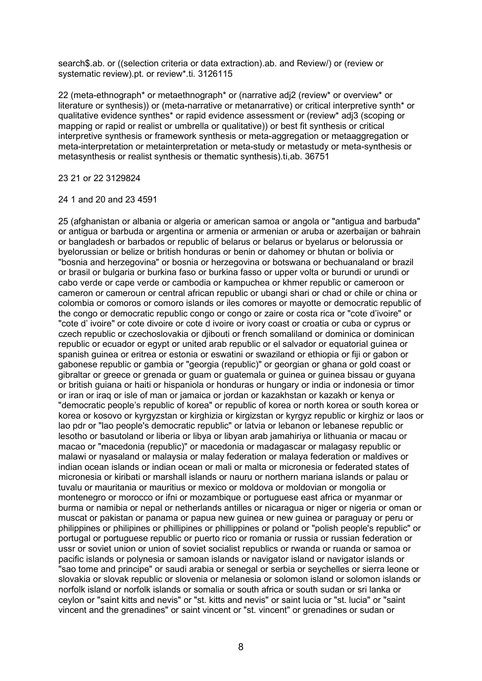search\$.ab. or ((selection criteria or data extraction).ab. and Review/) or (review or systematic review).pt. or review\*.ti. 3126115

22 (meta-ethnograph\* or metaethnograph\* or (narrative adj2 (review\* or overview\* or literature or synthesis)) or (meta-narrative or metanarrative) or critical interpretive synth\* or qualitative evidence synthes\* or rapid evidence assessment or (review\* adj3 (scoping or mapping or rapid or realist or umbrella or qualitative)) or best fit synthesis or critical interpretive synthesis or framework synthesis or meta-aggregation or metaaggregation or meta-interpretation or metainterpretation or meta-study or metastudy or meta-synthesis or metasynthesis or realist synthesis or thematic synthesis).ti,ab. 36751

23 21 or 22 3129824

#### 24 1 and 20 and 23 4591

25 (afghanistan or albania or algeria or american samoa or angola or "antigua and barbuda" or antigua or barbuda or argentina or armenia or armenian or aruba or azerbaijan or bahrain or bangladesh or barbados or republic of belarus or belarus or byelarus or belorussia or byelorussian or belize or british honduras or benin or dahomey or bhutan or bolivia or "bosnia and herzegovina" or bosnia or herzegovina or botswana or bechuanaland or brazil or brasil or bulgaria or burkina faso or burkina fasso or upper volta or burundi or urundi or cabo verde or cape verde or cambodia or kampuchea or khmer republic or cameroon or cameron or cameroun or central african republic or ubangi shari or chad or chile or china or colombia or comoros or comoro islands or iles comores or mayotte or democratic republic of the congo or democratic republic congo or congo or zaire or costa rica or "cote d'ivoire" or "cote d' ivoire" or cote divoire or cote d ivoire or ivory coast or croatia or cuba or cyprus or czech republic or czechoslovakia or djibouti or french somaliland or dominica or dominican republic or ecuador or egypt or united arab republic or el salvador or equatorial guinea or spanish guinea or eritrea or estonia or eswatini or swaziland or ethiopia or fiji or gabon or gabonese republic or gambia or "georgia (republic)" or georgian or ghana or gold coast or gibraltar or greece or grenada or guam or guatemala or guinea or guinea bissau or guyana or british guiana or haiti or hispaniola or honduras or hungary or india or indonesia or timor or iran or iraq or isle of man or jamaica or jordan or kazakhstan or kazakh or kenya or "democratic people's republic of korea" or republic of korea or north korea or south korea or korea or kosovo or kyrgyzstan or kirghizia or kirgizstan or kyrgyz republic or kirghiz or laos or lao pdr or "lao people's democratic republic" or latvia or lebanon or lebanese republic or lesotho or basutoland or liberia or libya or libyan arab jamahiriya or lithuania or macau or macao or "macedonia (republic)" or macedonia or madagascar or malagasy republic or malawi or nyasaland or malaysia or malay federation or malaya federation or maldives or indian ocean islands or indian ocean or mali or malta or micronesia or federated states of micronesia or kiribati or marshall islands or nauru or northern mariana islands or palau or tuvalu or mauritania or mauritius or mexico or moldova or moldovian or mongolia or montenegro or morocco or ifni or mozambique or portuguese east africa or myanmar or burma or namibia or nepal or netherlands antilles or nicaragua or niger or nigeria or oman or muscat or pakistan or panama or papua new guinea or new guinea or paraguay or peru or philippines or philipines or phillipines or phillippines or poland or "polish people's republic" or portugal or portuguese republic or puerto rico or romania or russia or russian federation or ussr or soviet union or union of soviet socialist republics or rwanda or ruanda or samoa or pacific islands or polynesia or samoan islands or navigator island or navigator islands or "sao tome and principe" or saudi arabia or senegal or serbia or seychelles or sierra leone or slovakia or slovak republic or slovenia or melanesia or solomon island or solomon islands or norfolk island or norfolk islands or somalia or south africa or south sudan or sri lanka or ceylon or "saint kitts and nevis" or "st. kitts and nevis" or saint lucia or "st. lucia" or "saint vincent and the grenadines" or saint vincent or "st. vincent" or grenadines or sudan or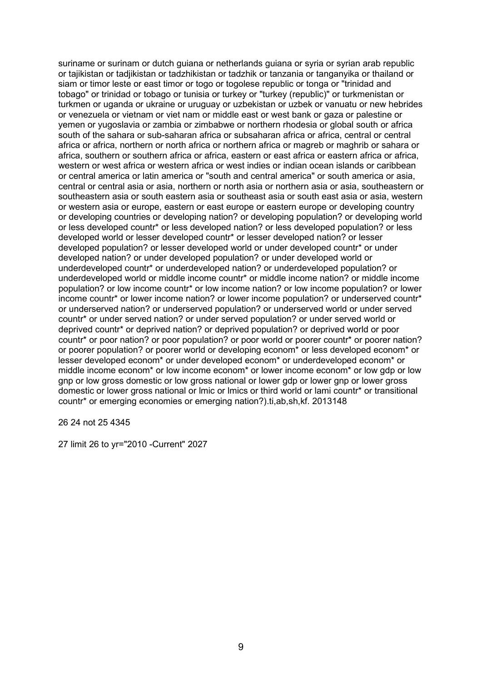suriname or surinam or dutch guiana or netherlands guiana or syria or syrian arab republic or tajikistan or tadjikistan or tadzhikistan or tadzhik or tanzania or tanganyika or thailand or siam or timor leste or east timor or togo or togolese republic or tonga or "trinidad and tobago" or trinidad or tobago or tunisia or turkey or "turkey (republic)" or turkmenistan or turkmen or uganda or ukraine or uruguay or uzbekistan or uzbek or vanuatu or new hebrides or venezuela or vietnam or viet nam or middle east or west bank or gaza or palestine or yemen or yugoslavia or zambia or zimbabwe or northern rhodesia or global south or africa south of the sahara or sub-saharan africa or subsaharan africa or africa, central or central africa or africa, northern or north africa or northern africa or magreb or maghrib or sahara or africa, southern or southern africa or africa, eastern or east africa or eastern africa or africa, western or west africa or western africa or west indies or indian ocean islands or caribbean or central america or latin america or "south and central america" or south america or asia, central or central asia or asia, northern or north asia or northern asia or asia, southeastern or southeastern asia or south eastern asia or southeast asia or south east asia or asia, western or western asia or europe, eastern or east europe or eastern europe or developing country or developing countries or developing nation? or developing population? or developing world or less developed countr\* or less developed nation? or less developed population? or less developed world or lesser developed countr\* or lesser developed nation? or lesser developed population? or lesser developed world or under developed countr\* or under developed nation? or under developed population? or under developed world or underdeveloped countr\* or underdeveloped nation? or underdeveloped population? or underdeveloped world or middle income countr\* or middle income nation? or middle income population? or low income countr\* or low income nation? or low income population? or lower income countr\* or lower income nation? or lower income population? or underserved countr\* or underserved nation? or underserved population? or underserved world or under served countr\* or under served nation? or under served population? or under served world or deprived countr\* or deprived nation? or deprived population? or deprived world or poor countr\* or poor nation? or poor population? or poor world or poorer countr\* or poorer nation? or poorer population? or poorer world or developing econom\* or less developed econom\* or lesser developed econom\* or under developed econom\* or underdeveloped econom\* or middle income econom\* or low income econom\* or lower income econom\* or low gdp or low gnp or low gross domestic or low gross national or lower gdp or lower gnp or lower gross domestic or lower gross national or lmic or lmics or third world or lami countr\* or transitional countr\* or emerging economies or emerging nation?).ti,ab,sh,kf. 2013148

26 24 not 25 4345

27 limit 26 to yr="2010 -Current" 2027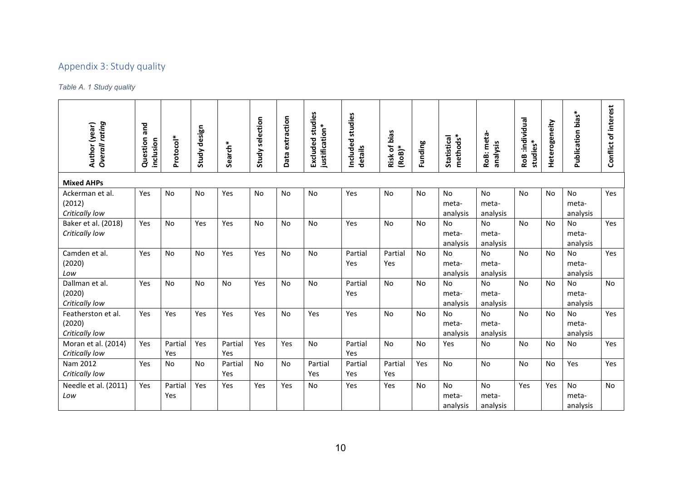## Appendix 3: Study quality

## *Table A. 1 Study quality*

| Overall rating<br>Author (year)                | and<br>Question<br>inclusion | Protocol*      | design<br>Study | Search*        | Study selection | Data extraction | studies<br>justification*<br>Excluded | studies<br>Included<br>details | <b>Risk of bias</b><br>$(RoB)*$ | Funding   | methods*<br>Statistical        | RoB: meta-<br>analysis         | RoB :individual<br>studies* | Heterogeneity | Publication bias*              | Conflict of interest |
|------------------------------------------------|------------------------------|----------------|-----------------|----------------|-----------------|-----------------|---------------------------------------|--------------------------------|---------------------------------|-----------|--------------------------------|--------------------------------|-----------------------------|---------------|--------------------------------|----------------------|
| <b>Mixed AHPs</b>                              |                              |                |                 |                |                 |                 |                                       |                                |                                 |           |                                |                                |                             |               |                                |                      |
| Ackerman et al.<br>(2012)<br>Critically low    | Yes                          | No             | No              | Yes            | No              | No              | No                                    | Yes                            | No                              | <b>No</b> | No<br>meta-<br>analysis        | No<br>meta-<br>analysis        | No                          | <b>No</b>     | No<br>meta-<br>analysis        | Yes                  |
| Baker et al. (2018)<br>Critically low          | Yes                          | <b>No</b>      | Yes             | Yes            | <b>No</b>       | <b>No</b>       | <b>No</b>                             | Yes                            | <b>No</b>                       | <b>No</b> | <b>No</b><br>meta-<br>analysis | No<br>meta-<br>analysis        | <b>No</b>                   | <b>No</b>     | No<br>meta-<br>analysis        | Yes                  |
| Camden et al.<br>(2020)<br>Low                 | Yes                          | <b>No</b>      | <b>No</b>       | Yes            | Yes             | No              | <b>No</b>                             | Partial<br>Yes                 | Partial<br>Yes                  | No        | <b>No</b><br>meta-<br>analysis | <b>No</b><br>meta-<br>analysis | <b>No</b>                   | <b>No</b>     | <b>No</b><br>meta-<br>analysis | Yes                  |
| Dallman et al.<br>(2020)<br>Critically low     | Yes                          | <b>No</b>      | <b>No</b>       | <b>No</b>      | Yes             | <b>No</b>       | <b>No</b>                             | Partial<br>Yes                 | <b>No</b>                       | <b>No</b> | <b>No</b><br>meta-<br>analysis | <b>No</b><br>meta-<br>analysis | <b>No</b>                   | <b>No</b>     | <b>No</b><br>meta-<br>analysis | No.                  |
| Featherston et al.<br>(2020)<br>Critically low | Yes                          | Yes            | Yes             | Yes            | Yes             | No              | Yes                                   | Yes                            | <b>No</b>                       | <b>No</b> | No<br>meta-<br>analysis        | No<br>meta-<br>analysis        | <b>No</b>                   | <b>No</b>     | No<br>meta-<br>analysis        | Yes                  |
| Moran et al. (2014)<br>Critically low          | <b>Yes</b>                   | Partial<br>Yes | Yes             | Partial<br>Yes | Yes             | Yes             | <b>No</b>                             | Partial<br>Yes                 | No                              | <b>No</b> | Yes                            | <b>No</b>                      | <b>No</b>                   | <b>No</b>     | No                             | Yes                  |
| Nam 2012<br>Critically low                     | Yes                          | <b>No</b>      | <b>No</b>       | Partial<br>Yes | <b>No</b>       | No              | Partial<br>Yes                        | Partial<br>Yes                 | Partial<br>Yes                  | Yes       | <b>No</b>                      | <b>No</b>                      | <b>No</b>                   | <b>No</b>     | Yes                            | Yes                  |
| Needle et al. (2011)<br>Low                    | Yes                          | Partial<br>Yes | Yes             | Yes            | Yes             | Yes             | <b>No</b>                             | Yes                            | Yes                             | <b>No</b> | <b>No</b><br>meta-<br>analysis | No<br>meta-<br>analysis        | Yes                         | Yes           | No<br>meta-<br>analysis        | <b>No</b>            |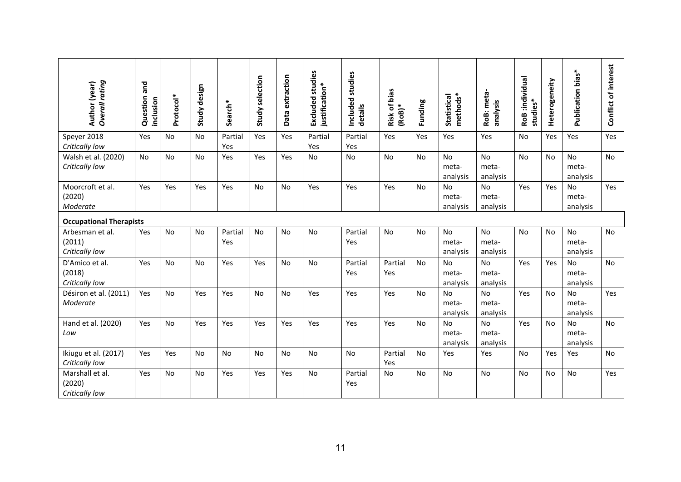| <b>Overall</b> rating<br>Author (year)      | Question and<br>inclusion | Protocol* | design<br>Study | Search*        | Study selection | Data extraction | <b>Excluded studies</b><br>justification* | studies<br>Included<br>details | Risk of bias<br>$(RoB)*$ | Funding   | methods*<br><b>Statistical</b> | RoB: meta-<br>analysis         | RoB:individual<br>studies* | Heterogeneity | Publication bias*              | Conflict of interest |
|---------------------------------------------|---------------------------|-----------|-----------------|----------------|-----------------|-----------------|-------------------------------------------|--------------------------------|--------------------------|-----------|--------------------------------|--------------------------------|----------------------------|---------------|--------------------------------|----------------------|
| Speyer 2018<br>Critically low               | Yes                       | <b>No</b> | <b>No</b>       | Partial<br>Yes | Yes             | Yes             | Partial<br>Yes                            | Partial<br>Yes                 | Yes                      | Yes       | Yes                            | Yes                            | No                         | Yes           | Yes                            | Yes                  |
| Walsh et al. (2020)<br>Critically low       | No                        | No        | No              | Yes            | Yes             | Yes             | <b>No</b>                                 | <b>No</b>                      | <b>No</b>                | <b>No</b> | <b>No</b><br>meta-<br>analysis | No<br>meta-<br>analysis        | <b>No</b>                  | No            | <b>No</b><br>meta-<br>analysis | No                   |
| Moorcroft et al.<br>(2020)<br>Moderate      | Yes                       | Yes       | Yes             | Yes            | <b>No</b>       | No              | Yes                                       | Yes                            | Yes                      | <b>No</b> | <b>No</b><br>meta-<br>analysis | <b>No</b><br>meta-<br>analysis | Yes                        | Yes           | <b>No</b><br>meta-<br>analysis | Yes                  |
| <b>Occupational Therapists</b>              |                           |           |                 |                |                 |                 |                                           |                                |                          |           |                                |                                |                            |               |                                |                      |
| Arbesman et al.<br>(2011)<br>Critically low | Yes                       | No        | No              | Partial<br>Yes | No              | No              | No                                        | Partial<br>Yes                 | No                       | No        | No<br>meta-<br>analysis        | <b>No</b><br>meta-<br>analysis | No                         | No            | No<br>meta-<br>analysis        | No                   |
| D'Amico et al.<br>(2018)<br>Critically low  | Yes                       | No        | <b>No</b>       | Yes            | Yes             | No              | <b>No</b>                                 | Partial<br>Yes                 | Partial<br>Yes           | <b>No</b> | <b>No</b><br>meta-<br>analysis | No<br>meta-<br>analysis        | Yes                        | Yes           | No<br>meta-<br>analysis        | No                   |
| Désiron et al. (2011)<br>Moderate           | <b>Yes</b>                | No        | Yes             | Yes            | <b>No</b>       | <b>No</b>       | Yes                                       | Yes                            | Yes                      | <b>No</b> | No<br>meta-<br>analysis        | No<br>meta-<br>analysis        | Yes                        | <b>No</b>     | <b>No</b><br>meta-<br>analysis | Yes                  |
| Hand et al. (2020)<br>Low                   | Yes                       | No        | Yes             | Yes            | Yes             | Yes             | Yes                                       | Yes                            | Yes                      | <b>No</b> | <b>No</b><br>meta-<br>analysis | No<br>meta-<br>analysis        | Yes                        | <b>No</b>     | No<br>meta-<br>analysis        | No                   |
| Ikiugu et al. (2017)<br>Critically low      | Yes                       | Yes       | <b>No</b>       | No             | <b>No</b>       | <b>No</b>       | <b>No</b>                                 | No                             | Partial<br>Yes           | <b>No</b> | Yes                            | Yes                            | <b>No</b>                  | Yes           | Yes                            | No                   |
| Marshall et al.<br>(2020)<br>Critically low | Yes                       | No        | No              | Yes            | Yes             | Yes             | No                                        | Partial<br>Yes                 | No                       | No        | No                             | No                             | No                         | No            | No                             | Yes                  |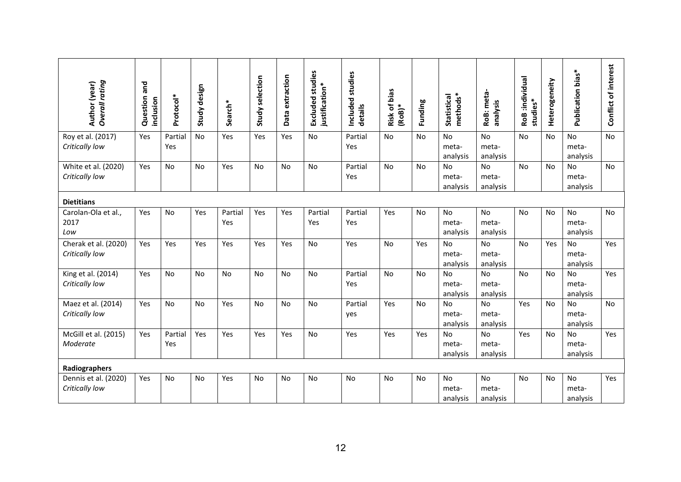| <b>Overall</b> rating<br>Author (year) | Question and<br>inclusion | Protocol*      | design<br>Study | Search*        | Study selection | Data extraction | <b>Excluded studies</b><br>justification* | studies<br>Included<br>details | Risk of bias<br>$(RoB)*$ | Funding   | methods*<br>Statistical        | RoB: meta-<br>analysis         | RoB:individual<br>studies* | Heterogeneity | Publication bias*              | Conflict of interest |
|----------------------------------------|---------------------------|----------------|-----------------|----------------|-----------------|-----------------|-------------------------------------------|--------------------------------|--------------------------|-----------|--------------------------------|--------------------------------|----------------------------|---------------|--------------------------------|----------------------|
| Roy et al. (2017)<br>Critically low    | Yes                       | Partial<br>Yes | <b>No</b>       | Yes            | Yes             | Yes             | No                                        | Partial<br>Yes                 | No                       | No        | No<br>meta-<br>analysis        | No<br>meta-<br>analysis        | No                         | <b>No</b>     | No<br>meta-<br>analysis        | No                   |
| White et al. (2020)<br>Critically low  | Yes                       | No             | No              | Yes            | No              | No              | No                                        | Partial<br>Yes                 | No                       | <b>No</b> | No<br>meta-<br>analysis        | No<br>meta-<br>analysis        | No                         | No            | No<br>meta-<br>analysis        | No                   |
| <b>Dietitians</b>                      |                           |                |                 |                |                 |                 |                                           |                                |                          |           |                                |                                |                            |               |                                |                      |
| Carolan-Ola et al.,<br>2017<br>Low     | Yes                       | <b>No</b>      | Yes             | Partial<br>Yes | Yes             | Yes             | Partial<br>Yes                            | Partial<br>Yes                 | Yes                      | <b>No</b> | <b>No</b><br>meta-<br>analysis | <b>No</b><br>meta-<br>analysis | No                         | <b>No</b>     | <b>No</b><br>meta-<br>analysis | No                   |
| Cherak et al. (2020)<br>Critically low | Yes                       | Yes            | Yes             | Yes            | Yes             | Yes             | No                                        | Yes                            | No                       | Yes       | <b>No</b><br>meta-<br>analysis | No<br>meta-<br>analysis        | No                         | Yes           | <b>No</b><br>meta-<br>analysis | Yes                  |
| King et al. (2014)<br>Critically low   | Yes                       | <b>No</b>      | <b>No</b>       | <b>No</b>      | <b>No</b>       | <b>No</b>       | <b>No</b>                                 | Partial<br>Yes                 | <b>No</b>                | <b>No</b> | <b>No</b><br>meta-<br>analysis | No<br>meta-<br>analysis        | <b>No</b>                  | <b>No</b>     | <b>No</b><br>meta-<br>analysis | Yes                  |
| Maez et al. (2014)<br>Critically low   | Yes                       | No             | <b>No</b>       | Yes            | <b>No</b>       | No              | No                                        | Partial<br>yes                 | Yes                      | <b>No</b> | <b>No</b><br>meta-<br>analysis | <b>No</b><br>meta-<br>analysis | Yes                        | <b>No</b>     | No<br>meta-<br>analysis        | No                   |
| McGill et al. (2015)<br>Moderate       | Yes                       | Partial<br>Yes | Yes             | Yes            | Yes             | Yes             | <b>No</b>                                 | Yes                            | Yes                      | Yes       | No<br>meta-<br>analysis        | No<br>meta-<br>analysis        | Yes                        | <b>No</b>     | No<br>meta-<br>analysis        | Yes                  |
| Radiographers                          |                           |                |                 |                |                 |                 |                                           |                                |                          |           |                                |                                |                            |               |                                |                      |
| Dennis et al. (2020)<br>Critically low | Yes                       | No             | No              | Yes            | No              | No              | No                                        | No                             | No                       | No        | <b>No</b><br>meta-<br>analysis | <b>No</b><br>meta-<br>analysis | No                         | <b>No</b>     | No<br>meta-<br>analysis        | Yes                  |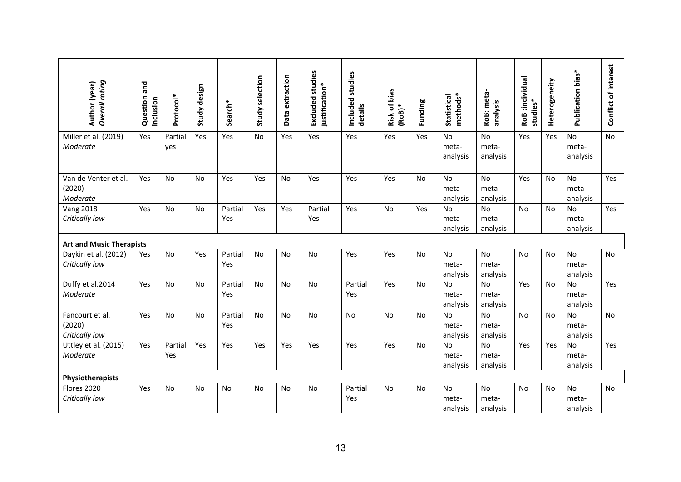| <b>Overall</b> rating<br>Author (year)      | Question and<br>inclusion | Protocol*      | Study design | Search*        | Study selection | Data extraction | <b>Excluded studies</b><br>justification* | studies<br>Included<br>details | Risk of bias<br>$(RoB)*$ | Funding   | methods*<br>Statistical        | RoB: meta<br>analysis          | RoB :individual<br>studies* | Heterogeneity | Publication bias*              | Conflict of interest |
|---------------------------------------------|---------------------------|----------------|--------------|----------------|-----------------|-----------------|-------------------------------------------|--------------------------------|--------------------------|-----------|--------------------------------|--------------------------------|-----------------------------|---------------|--------------------------------|----------------------|
| Miller et al. (2019)<br>Moderate            | Yes                       | Partial<br>yes | Yes          | Yes            | No              | Yes             | Yes                                       | Yes                            | Yes                      | Yes       | <b>No</b><br>meta-<br>analysis | No<br>meta-<br>analysis        | Yes                         | Yes           | No<br>meta-<br>analysis        | <b>No</b>            |
| Van de Venter et al.<br>(2020)<br>Moderate  | Yes                       | <b>No</b>      | <b>No</b>    | Yes            | Yes             | <b>No</b>       | Yes                                       | Yes                            | Yes                      | <b>No</b> | No<br>meta-<br>analysis        | No<br>meta-<br>analysis        | Yes                         | <b>No</b>     | No<br>meta-<br>analysis        | Yes                  |
| <b>Vang 2018</b><br>Critically low          | Yes                       | <b>No</b>      | <b>No</b>    | Partial<br>Yes | Yes             | Yes             | Partial<br>Yes                            | Yes                            | <b>No</b>                | Yes       | No<br>meta-<br>analysis        | No<br>meta-<br>analysis        | <b>No</b>                   | <b>No</b>     | <b>No</b><br>meta-<br>analysis | Yes                  |
| <b>Art and Music Therapists</b>             |                           |                |              |                |                 |                 |                                           |                                |                          |           |                                |                                |                             |               |                                |                      |
| Daykin et al. (2012)<br>Critically low      | Yes                       | No             | Yes          | Partial<br>Yes | No              | No              | No                                        | Yes                            | Yes                      | No        | No<br>meta-<br>analysis        | <b>No</b><br>meta-<br>analysis | No                          | No            | No<br>meta-<br>analysis        | No                   |
| Duffy et al.2014<br>Moderate                | Yes                       | <b>No</b>      | <b>No</b>    | Partial<br>Yes | <b>No</b>       | <b>No</b>       | <b>No</b>                                 | Partial<br>Yes                 | Yes                      | No        | <b>No</b><br>meta-<br>analysis | <b>No</b><br>meta-<br>analysis | Yes                         | <b>No</b>     | <b>No</b><br>meta-<br>analysis | Yes                  |
| Fancourt et al.<br>(2020)<br>Critically low | Yes                       | <b>No</b>      | No           | Partial<br>Yes | No              | No              | <b>No</b>                                 | <b>No</b>                      | No                       | <b>No</b> | <b>No</b><br>meta-<br>analysis | No<br>meta-<br>analysis        | No                          | <b>No</b>     | No<br>meta-<br>analysis        | No                   |
| Uttley et al. (2015)<br>Moderate            | Yes                       | Partial<br>Yes | Yes          | Yes            | Yes             | Yes             | Yes                                       | Yes                            | Yes                      | No        | <b>No</b><br>meta-<br>analysis | <b>No</b><br>meta-<br>analysis | Yes                         | Yes           | <b>No</b><br>meta-<br>analysis | Yes                  |
| Physiotherapists                            |                           |                |              |                |                 |                 |                                           |                                |                          |           |                                |                                |                             |               |                                |                      |
| Flores 2020<br>Critically low               | <b>Yes</b>                | <b>No</b>      | <b>No</b>    | No             | <b>No</b>       | <b>No</b>       | No                                        | Partial<br>Yes                 | <b>No</b>                | No.       | <b>No</b><br>meta-<br>analysis | <b>No</b><br>meta-<br>analysis | <b>No</b>                   | No            | <b>No</b><br>meta-<br>analysis | <b>No</b>            |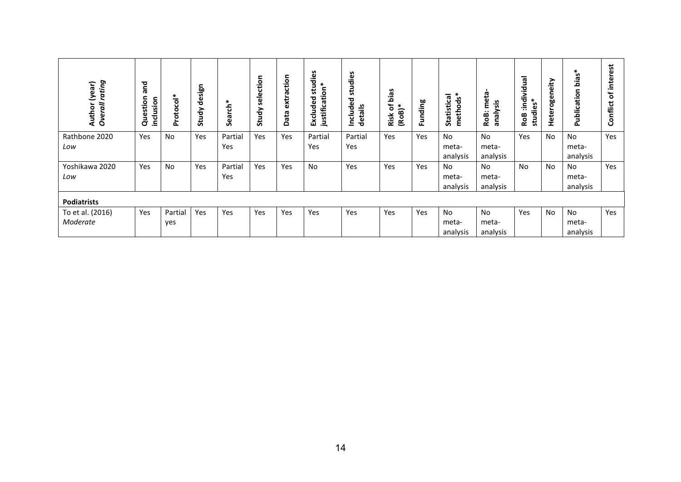| rating<br>(year)<br>Overall<br>Author | and<br>Question<br>inclusion | Protocol*      | sign<br>ق<br>Study | Search*        | selection<br>Study | extraction<br>Data | s<br>studie<br>justification*<br>Excluded | studies<br>ිල<br>ම<br>details<br>Includ | bias<br>đ<br>$(RoB)*$<br>Risk | Funding | methods*<br>Statistical        | meta<br>analysis<br>RoB:       | individual<br>$\ast$<br>studies <sup>3</sup><br><b>RoB</b> | eity<br>⊆<br>Heteroge | ias <sup>:</sup><br>Publication | ಕ<br>interes<br>Ⴆ<br>Conflict |
|---------------------------------------|------------------------------|----------------|--------------------|----------------|--------------------|--------------------|-------------------------------------------|-----------------------------------------|-------------------------------|---------|--------------------------------|--------------------------------|------------------------------------------------------------|-----------------------|---------------------------------|-------------------------------|
| Rathbone 2020<br>Low                  | Yes                          | No             | Yes                | Partial<br>Yes | Yes                | Yes                | Partial<br>Yes                            | Partial<br>Yes                          | Yes                           | Yes     | <b>No</b><br>meta-<br>analysis | <b>No</b><br>meta-<br>analysis | Yes                                                        | <b>No</b>             | No<br>meta-<br>analysis         | Yes                           |
| Yoshikawa 2020<br>Low                 | Yes                          | No             | Yes                | Partial<br>Yes | Yes                | Yes                | No                                        | Yes                                     | Yes                           | Yes     | No<br>meta-<br>analysis        | No.<br>meta-<br>analysis       | <b>No</b>                                                  | No.                   | No.<br>meta-<br>analysis        | Yes                           |
| <b>Podiatrists</b>                    |                              |                |                    |                |                    |                    |                                           |                                         |                               |         |                                |                                |                                                            |                       |                                 |                               |
| To et al. (2016)<br>Moderate          | Yes                          | Partial<br>yes | Yes                | Yes            | Yes                | Yes                | Yes                                       | Yes                                     | Yes                           | Yes     | No<br>meta-<br>analysis        | No<br>meta-<br>analysis        | Yes                                                        | <b>No</b>             | No<br>meta-<br>analysis         | Yes                           |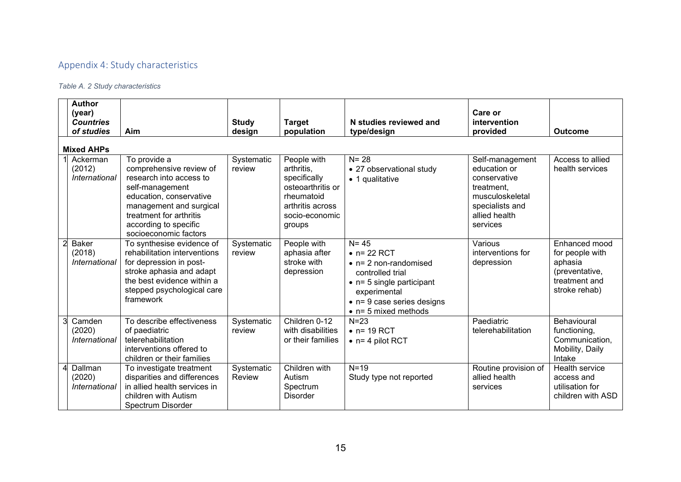# Appendix 4: Study characteristics

## *Table A. 2 Study characteristics*

|   | <b>Author</b><br>(year)<br><b>Countries</b><br>of studies | Aim                                                                                                                                                                                                                      | <b>Study</b><br>design | <b>Target</b><br>population                                                                                                  | N studies reviewed and<br>type/design                                                                                                                                                                           | Care or<br>intervention<br>provided                                                                                              | <b>Outcome</b>                                                                                  |
|---|-----------------------------------------------------------|--------------------------------------------------------------------------------------------------------------------------------------------------------------------------------------------------------------------------|------------------------|------------------------------------------------------------------------------------------------------------------------------|-----------------------------------------------------------------------------------------------------------------------------------------------------------------------------------------------------------------|----------------------------------------------------------------------------------------------------------------------------------|-------------------------------------------------------------------------------------------------|
|   | <b>Mixed AHPs</b>                                         |                                                                                                                                                                                                                          |                        |                                                                                                                              |                                                                                                                                                                                                                 |                                                                                                                                  |                                                                                                 |
|   | Ackerman<br>(2012)<br>International                       | To provide a<br>comprehensive review of<br>research into access to<br>self-management<br>education, conservative<br>management and surgical<br>treatment for arthritis<br>according to specific<br>socioeconomic factors | Systematic<br>review   | People with<br>arthritis,<br>specifically<br>osteoarthritis or<br>rheumatoid<br>arthritis across<br>socio-economic<br>groups | $N = 28$<br>• 27 observational study<br>• 1 qualitative                                                                                                                                                         | Self-management<br>education or<br>conservative<br>treatment,<br>musculoskeletal<br>specialists and<br>allied health<br>services | Access to allied<br>health services                                                             |
|   | <b>Baker</b><br>(2018)<br>International                   | To synthesise evidence of<br>rehabilitation interventions<br>for depression in post-<br>stroke aphasia and adapt<br>the best evidence within a<br>stepped psychological care<br>framework                                | Systematic<br>review   | People with<br>aphasia after<br>stroke with<br>depression                                                                    | $N = 45$<br>$\bullet$ n= 22 RCT<br>$\bullet$ n= 2 non-randomised<br>controlled trial<br>$\bullet$ n= 5 single participant<br>experimental<br>$\bullet$ n= 9 case series designs<br>$\bullet$ n= 5 mixed methods | Various<br>interventions for<br>depression                                                                                       | Enhanced mood<br>for people with<br>aphasia<br>(preventative,<br>treatment and<br>stroke rehab) |
| 3 | Camden<br>(2020)<br>International                         | To describe effectiveness<br>of paediatric<br>telerehabilitation<br>interventions offered to<br>children or their families                                                                                               | Systematic<br>review   | Children 0-12<br>with disabilities<br>or their families                                                                      | $N = 23$<br>$\bullet$ n= 19 RCT<br>$\bullet$ n= 4 pilot RCT                                                                                                                                                     | Paediatric<br>telerehabilitation                                                                                                 | Behavioural<br>functioning,<br>Communication,<br>Mobility, Daily<br>Intake                      |
|   | Dallman<br>(2020)<br>International                        | To investigate treatment<br>disparities and differences<br>in allied health services in<br>children with Autism<br>Spectrum Disorder                                                                                     | Systematic<br>Review   | Children with<br>Autism<br>Spectrum<br><b>Disorder</b>                                                                       | $N=19$<br>Study type not reported                                                                                                                                                                               | Routine provision of<br>allied health<br>services                                                                                | Health service<br>access and<br>utilisation for<br>children with ASD                            |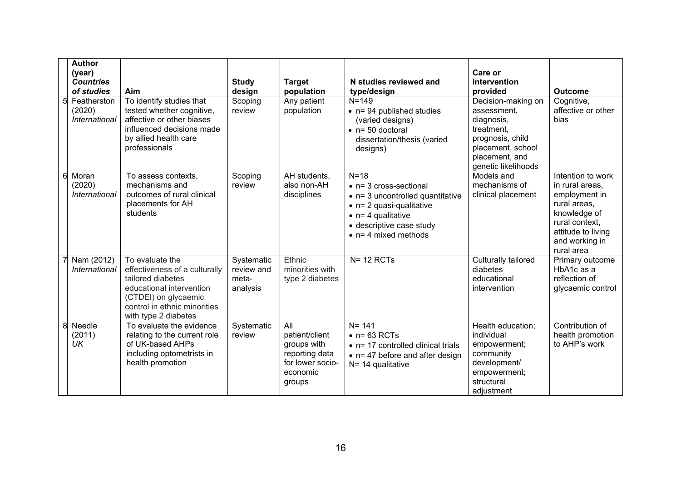|   | <b>Author</b><br>(year)<br><b>Countries</b><br>of studies | Aim                                                                                                                                                                               | <b>Study</b><br>design                        | <b>Target</b><br>population                                                                      | N studies reviewed and<br>type/design                                                                                                                                                                              | Care or<br>intervention<br>provided                                                                                                             | <b>Outcome</b>                                                                                                                                                |
|---|-----------------------------------------------------------|-----------------------------------------------------------------------------------------------------------------------------------------------------------------------------------|-----------------------------------------------|--------------------------------------------------------------------------------------------------|--------------------------------------------------------------------------------------------------------------------------------------------------------------------------------------------------------------------|-------------------------------------------------------------------------------------------------------------------------------------------------|---------------------------------------------------------------------------------------------------------------------------------------------------------------|
| 5 | Featherston<br>(2020)<br>International                    | To identify studies that<br>tested whether cognitive,<br>affective or other biases<br>influenced decisions made<br>by allied health care<br>professionals                         | Scoping<br>review                             | Any patient<br>population                                                                        | $N = 149$<br>$\bullet$ n= 94 published studies<br>(varied designs)<br>$n = 50$ doctoral<br>dissertation/thesis (varied<br>designs)                                                                                 | Decision-making on<br>assessment.<br>diagnosis,<br>treatment,<br>prognosis, child<br>placement, school<br>placement, and<br>genetic likelihoods | Cognitive,<br>affective or other<br>bias                                                                                                                      |
| 6 | Moran<br>(2020)<br>International                          | To assess contexts,<br>mechanisms and<br>outcomes of rural clinical<br>placements for AH<br>students                                                                              | Scoping<br>review                             | AH students,<br>also non-AH<br>disciplines                                                       | $N=18$<br>$\bullet$ n= 3 cross-sectional<br>$\bullet$ n= 3 uncontrolled quantitative<br>$\bullet$ n= 2 quasi-qualitative<br>$\bullet$ n= 4 qualitative<br>• descriptive case study<br>$\bullet$ n= 4 mixed methods | Models and<br>mechanisms of<br>clinical placement                                                                                               | Intention to work<br>in rural areas,<br>employment in<br>rural areas,<br>knowledge of<br>rural context,<br>attitude to living<br>and working in<br>rural area |
|   | Nam (2012)<br>International                               | To evaluate the<br>effectiveness of a culturally<br>tailored diabetes<br>educational intervention<br>(CTDEI) on glycaemic<br>control in ethnic minorities<br>with type 2 diabetes | Systematic<br>review and<br>meta-<br>analysis | Ethnic<br>minorities with<br>type 2 diabetes                                                     | $N = 12$ RCTs                                                                                                                                                                                                      | Culturally tailored<br>diabetes<br>educational<br>intervention                                                                                  | Primary outcome<br>HbA1c as a<br>reflection of<br>glycaemic control                                                                                           |
| 8 | Needle<br>(2011)<br>UK                                    | To evaluate the evidence<br>relating to the current role<br>of UK-based AHPs<br>including optometrists in<br>health promotion                                                     | Systematic<br>review                          | All<br>patient/client<br>groups with<br>reporting data<br>for lower socio-<br>economic<br>groups | $N = 141$<br>$\bullet$ n= 63 RCTs<br>• n= 17 controlled clinical trials<br>$\bullet$ n= 47 before and after design<br>$N = 14$ qualitative                                                                         | Health education;<br>individual<br>empowerment;<br>community<br>development/<br>empowerment;<br>structural<br>adjustment                        | Contribution of<br>health promotion<br>to AHP's work                                                                                                          |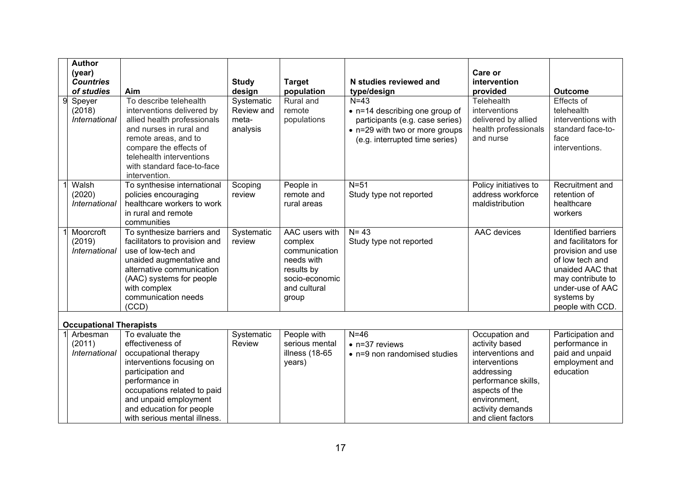| <b>Author</b>                  |                                                   |                      |                         |                                                                   |                        |                              |
|--------------------------------|---------------------------------------------------|----------------------|-------------------------|-------------------------------------------------------------------|------------------------|------------------------------|
| (year)                         |                                                   |                      |                         |                                                                   | Care or                |                              |
| <b>Countries</b>               |                                                   | <b>Study</b>         | <b>Target</b>           | N studies reviewed and                                            | intervention           |                              |
| of studies                     | Aim<br>To describe telehealth                     | design<br>Systematic | population<br>Rural and | type/design<br>$N=43$                                             | provided<br>Telehealth | <b>Outcome</b><br>Effects of |
| Speyer<br>(2018)               | interventions delivered by                        | Review and           | remote                  |                                                                   | interventions          | telehealth                   |
| <b>International</b>           | allied health professionals                       | meta-                | populations             | • n=14 describing one group of<br>participants (e.g. case series) | delivered by allied    | interventions with           |
|                                | and nurses in rural and                           | analysis             |                         | • n=29 with two or more groups                                    | health professionals   | standard face-to-            |
|                                | remote areas, and to                              |                      |                         | (e.g. interrupted time series)                                    | and nurse              | face                         |
|                                | compare the effects of                            |                      |                         |                                                                   |                        | interventions.               |
|                                | telehealth interventions                          |                      |                         |                                                                   |                        |                              |
|                                | with standard face-to-face                        |                      |                         |                                                                   |                        |                              |
|                                | intervention.                                     |                      |                         |                                                                   |                        |                              |
| Walsh                          | To synthesise international                       | Scoping              | People in               | $N=51$                                                            | Policy initiatives to  | Recruitment and              |
| (2020)                         | policies encouraging                              | review               | remote and              | Study type not reported                                           | address workforce      | retention of                 |
| <b>International</b>           | healthcare workers to work<br>in rural and remote |                      | rural areas             |                                                                   | maldistribution        | healthcare<br>workers        |
|                                | communities                                       |                      |                         |                                                                   |                        |                              |
| Moorcroft                      | To synthesize barriers and                        | Systematic           | AAC users with          | $N = 43$                                                          | AAC devices            | <b>Identified barriers</b>   |
| (2019)                         | facilitators to provision and                     | review               | complex                 | Study type not reported                                           |                        | and facilitators for         |
| International                  | use of low-tech and                               |                      | communication           |                                                                   |                        | provision and use            |
|                                | unaided augmentative and                          |                      | needs with              |                                                                   |                        | of low tech and              |
|                                | alternative communication                         |                      | results by              |                                                                   |                        | unaided AAC that             |
|                                | (AAC) systems for people                          |                      | socio-economic          |                                                                   |                        | may contribute to            |
|                                | with complex                                      |                      | and cultural            |                                                                   |                        | under-use of AAC             |
|                                | communication needs                               |                      | group                   |                                                                   |                        | systems by                   |
|                                | (CCD)                                             |                      |                         |                                                                   |                        | people with CCD.             |
| <b>Occupational Therapists</b> |                                                   |                      |                         |                                                                   |                        |                              |
| Arbesman                       | To evaluate the                                   | Systematic           | People with             | $N=46$                                                            | Occupation and         | Participation and            |
| (2011)                         | effectiveness of                                  | Review               | serious mental          | $\bullet$ n=37 reviews                                            | activity based         | performance in               |
| International                  | occupational therapy                              |                      | illness (18-65          | • n=9 non randomised studies                                      | interventions and      | paid and unpaid              |
|                                | interventions focusing on                         |                      | years)                  |                                                                   | interventions          | employment and               |
|                                | participation and                                 |                      |                         |                                                                   | addressing             | education                    |
|                                | performance in                                    |                      |                         |                                                                   | performance skills,    |                              |
|                                | occupations related to paid                       |                      |                         |                                                                   | aspects of the         |                              |
|                                | and unpaid employment                             |                      |                         |                                                                   | environment,           |                              |
|                                | and education for people                          |                      |                         |                                                                   | activity demands       |                              |
|                                | with serious mental illness.                      |                      |                         |                                                                   | and client factors     |                              |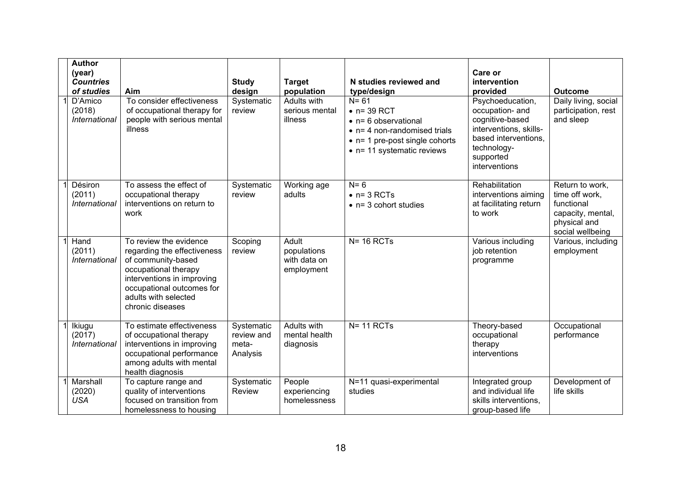| <b>Author</b><br>(year)<br><b>Countries</b><br>of studies<br>D'Amico<br>(2018)<br>International | Aim<br>To consider effectiveness<br>of occupational therapy for<br>people with serious mental<br>illness                                                                                                   | <b>Study</b><br>design<br>Systematic<br>review | <b>Target</b><br>population<br><b>Adults with</b><br>serious mental<br>illness | N studies reviewed and<br>type/design<br>$N = 61$<br>$\bullet$ n= 39 RCT<br>• n= 6 observational<br>$\bullet$ n= 4 non-randomised trials<br>$\bullet$ n= 1 pre-post single cohorts<br>• n= 11 systematic reviews | Care or<br>intervention<br>provided<br>Psychoeducation,<br>occupation- and<br>cognitive-based<br>interventions, skills-<br>based interventions,<br>technology-<br>supported<br>interventions | <b>Outcome</b><br>Daily living, social<br>participation, rest<br>and sleep                               |
|-------------------------------------------------------------------------------------------------|------------------------------------------------------------------------------------------------------------------------------------------------------------------------------------------------------------|------------------------------------------------|--------------------------------------------------------------------------------|------------------------------------------------------------------------------------------------------------------------------------------------------------------------------------------------------------------|----------------------------------------------------------------------------------------------------------------------------------------------------------------------------------------------|----------------------------------------------------------------------------------------------------------|
| Désiron<br>(2011)<br>International                                                              | To assess the effect of<br>occupational therapy<br>interventions on return to<br>work                                                                                                                      | Systematic<br>review                           | Working age<br>adults                                                          | $N = 6$<br>$\bullet$ n= 3 RCTs<br>$\bullet$ n= 3 cohort studies                                                                                                                                                  | Rehabilitation<br>interventions aiming<br>at facilitating return<br>to work                                                                                                                  | Return to work,<br>time off work,<br>functional<br>capacity, mental,<br>physical and<br>social wellbeing |
| Hand<br>(2011)<br>International                                                                 | To review the evidence<br>regarding the effectiveness<br>of community-based<br>occupational therapy<br>interventions in improving<br>occupational outcomes for<br>adults with selected<br>chronic diseases | Scoping<br>review                              | Adult<br>populations<br>with data on<br>employment                             | $N = 16$ RCTs                                                                                                                                                                                                    | Various including<br>job retention<br>programme                                                                                                                                              | Various, including<br>employment                                                                         |
| Ikiugu<br>(2017)<br>International                                                               | To estimate effectiveness<br>of occupational therapy<br>interventions in improving<br>occupational performance<br>among adults with mental<br>health diagnosis                                             | Systematic<br>review and<br>meta-<br>Analysis  | <b>Adults with</b><br>mental health<br>diagnosis                               | $N = 11$ RCTs                                                                                                                                                                                                    | Theory-based<br>occupational<br>therapy<br>interventions                                                                                                                                     | Occupational<br>performance                                                                              |
| Marshall<br>(2020)<br><b>USA</b>                                                                | To capture range and<br>quality of interventions<br>focused on transition from<br>homelessness to housing                                                                                                  | Systematic<br>Review                           | People<br>experiencing<br>homelessness                                         | N=11 quasi-experimental<br>studies                                                                                                                                                                               | Integrated group<br>and individual life<br>skills interventions,<br>group-based life                                                                                                         | Development of<br>life skills                                                                            |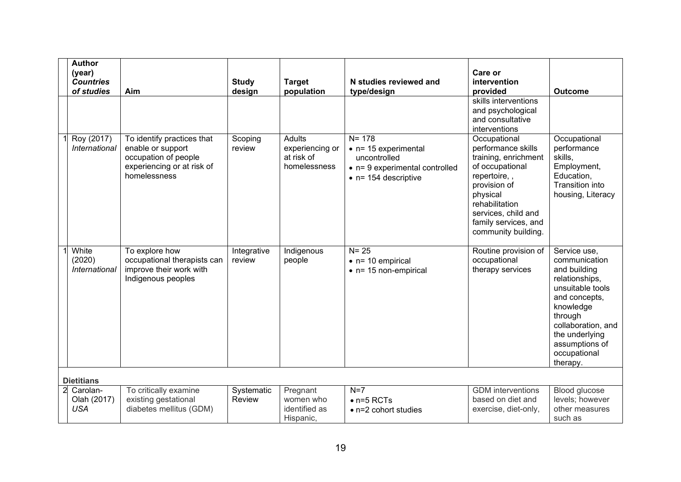| <b>Author</b><br>(year)<br><b>Countries</b><br>of studies | Aim                                                                                                                   | <b>Study</b><br>design | <b>Target</b><br>population                                    | N studies reviewed and<br>type/design                                                                                               | Care or<br>intervention<br>provided<br>skills interventions                                                                                                                                                       | <b>Outcome</b>                                                                                                                                                                                                     |
|-----------------------------------------------------------|-----------------------------------------------------------------------------------------------------------------------|------------------------|----------------------------------------------------------------|-------------------------------------------------------------------------------------------------------------------------------------|-------------------------------------------------------------------------------------------------------------------------------------------------------------------------------------------------------------------|--------------------------------------------------------------------------------------------------------------------------------------------------------------------------------------------------------------------|
|                                                           |                                                                                                                       |                        |                                                                |                                                                                                                                     | and psychological<br>and consultative<br>interventions                                                                                                                                                            |                                                                                                                                                                                                                    |
| Roy (2017)<br>International                               | To identify practices that<br>enable or support<br>occupation of people<br>experiencing or at risk of<br>homelessness | Scoping<br>review      | <b>Adults</b><br>experiencing or<br>at risk of<br>homelessness | $N = 178$<br>$\bullet$ n= 15 experimental<br>uncontrolled<br>$\bullet$ n= 9 experimental controlled<br>$\bullet$ n= 154 descriptive | Occupational<br>performance skills<br>training, enrichment<br>of occupational<br>repertoire,,<br>provision of<br>physical<br>rehabilitation<br>services, child and<br>family services, and<br>community building. | Occupational<br>performance<br>skills,<br>Employment,<br>Education,<br><b>Transition into</b><br>housing, Literacy                                                                                                 |
| White<br>(2020)<br>International                          | To explore how<br>occupational therapists can<br>improve their work with<br>Indigenous peoples                        | Integrative<br>review  | Indigenous<br>people                                           | $N = 25$<br>$\bullet$ n= 10 empirical<br>$\bullet$ n= 15 non-empirical                                                              | Routine provision of<br>occupational<br>therapy services                                                                                                                                                          | Service use,<br>communication<br>and building<br>relationships,<br>unsuitable tools<br>and concepts,<br>knowledge<br>through<br>collaboration, and<br>the underlying<br>assumptions of<br>occupational<br>therapy. |
| <b>Dietitians</b>                                         |                                                                                                                       |                        |                                                                |                                                                                                                                     |                                                                                                                                                                                                                   |                                                                                                                                                                                                                    |
| 2 Carolan-<br>Olah (2017)<br><b>USA</b>                   | To critically examine<br>existing gestational<br>diabetes mellitus (GDM)                                              | Systematic<br>Review   | Pregnant<br>women who<br>identified as<br>Hispanic,            | $N=7$<br>$\bullet$ n=5 RCTs<br>• n=2 cohort studies                                                                                 | <b>GDM</b> interventions<br>based on diet and<br>exercise, diet-only,                                                                                                                                             | Blood glucose<br>levels; however<br>other measures<br>such as                                                                                                                                                      |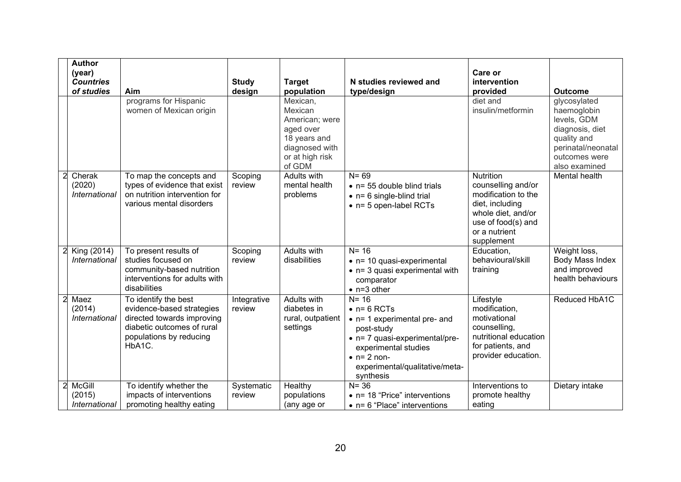|   | <b>Author</b><br>(year)<br><b>Countries</b><br>of studies | Aim                                                                                                                                                | <b>Study</b><br>design | <b>Target</b><br>population                                                                                       | N studies reviewed and<br>type/design                                                                                                                                                                         | Care or<br>intervention<br>provided                                                                                                                         | <b>Outcome</b>                                                                                                                       |
|---|-----------------------------------------------------------|----------------------------------------------------------------------------------------------------------------------------------------------------|------------------------|-------------------------------------------------------------------------------------------------------------------|---------------------------------------------------------------------------------------------------------------------------------------------------------------------------------------------------------------|-------------------------------------------------------------------------------------------------------------------------------------------------------------|--------------------------------------------------------------------------------------------------------------------------------------|
|   |                                                           | programs for Hispanic<br>women of Mexican origin                                                                                                   |                        | Mexican,<br>Mexican<br>American; were<br>aged over<br>18 years and<br>diagnosed with<br>or at high risk<br>of GDM |                                                                                                                                                                                                               | diet and<br>insulin/metformin                                                                                                                               | glycosylated<br>haemoglobin<br>levels, GDM<br>diagnosis, diet<br>quality and<br>perinatal/neonatal<br>outcomes were<br>also examined |
|   | Cherak<br>(2020)<br>International                         | To map the concepts and<br>types of evidence that exist<br>on nutrition intervention for<br>various mental disorders                               | Scoping<br>review      | Adults with<br>mental health<br>problems                                                                          | $N = 69$<br>$\bullet$ n= 55 double blind trials<br>$\bullet$ n= 6 single-blind trial<br>$\bullet$ n= 5 open-label RCTs                                                                                        | <b>Nutrition</b><br>counselling and/or<br>modification to the<br>diet, including<br>whole diet, and/or<br>use of food(s) and<br>or a nutrient<br>supplement | Mental health                                                                                                                        |
|   | King (2014)<br>International                              | To present results of<br>studies focused on<br>community-based nutrition<br>interventions for adults with<br>disabilities                          | Scoping<br>review      | Adults with<br>disabilities                                                                                       | $N = 16$<br>$\bullet$ n= 10 quasi-experimental<br>$\bullet$ n= 3 quasi experimental with<br>comparator<br>$\bullet$ n=3 other                                                                                 | Education,<br>behavioural/skill<br>training                                                                                                                 | Weight loss,<br>Body Mass Index<br>and improved<br>health behaviours                                                                 |
|   | Maez<br>(2014)<br>International                           | To identify the best<br>evidence-based strategies<br>directed towards improving<br>diabetic outcomes of rural<br>populations by reducing<br>HbA1C. | Integrative<br>review  | Adults with<br>diabetes in<br>rural, outpatient<br>settings                                                       | $N = 16$<br>$\bullet$ n= 6 RCTs<br>• n= 1 experimental pre- and<br>post-study<br>• n= 7 quasi-experimental/pre-<br>experimental studies<br>$\bullet$ n= 2 non-<br>experimental/qualitative/meta-<br>synthesis | Lifestyle<br>modification,<br>motivational<br>counselling,<br>nutritional education<br>for patients, and<br>provider education.                             | Reduced HbA1C                                                                                                                        |
| 2 | McGill<br>(2015)<br>International                         | To identify whether the<br>impacts of interventions<br>promoting healthy eating                                                                    | Systematic<br>review   | Healthy<br>populations<br>(any age or                                                                             | $N = 36$<br>• n= 18 "Price" interventions<br>$\bullet$ n= 6 "Place" interventions                                                                                                                             | Interventions to<br>promote healthy<br>eating                                                                                                               | Dietary intake                                                                                                                       |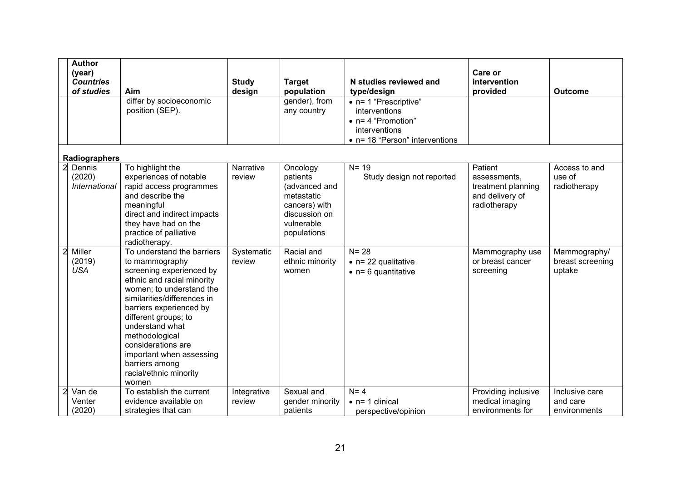| <b>Author</b><br>(year)<br><b>Countries</b><br>of studies | Aim                                                                                                                                                                                                                                                                                                                                                              | <b>Study</b><br>design | <b>Target</b><br>population                                                                                        | N studies reviewed and<br>type/design                                                                                   | Care or<br>intervention<br>provided                                              | <b>Outcome</b>                             |
|-----------------------------------------------------------|------------------------------------------------------------------------------------------------------------------------------------------------------------------------------------------------------------------------------------------------------------------------------------------------------------------------------------------------------------------|------------------------|--------------------------------------------------------------------------------------------------------------------|-------------------------------------------------------------------------------------------------------------------------|----------------------------------------------------------------------------------|--------------------------------------------|
|                                                           | differ by socioeconomic<br>position (SEP).                                                                                                                                                                                                                                                                                                                       |                        | gender), from<br>any country                                                                                       | • n= 1 "Prescriptive"<br>interventions<br>$\bullet$ n= 4 "Promotion"<br>interventions<br>• n= 18 "Person" interventions |                                                                                  |                                            |
| Radiographers                                             |                                                                                                                                                                                                                                                                                                                                                                  |                        |                                                                                                                    |                                                                                                                         |                                                                                  |                                            |
| 2 Dennis<br>(2020)<br>International                       | To highlight the<br>experiences of notable<br>rapid access programmes<br>and describe the<br>meaningful<br>direct and indirect impacts<br>they have had on the<br>practice of palliative<br>radiotherapy.                                                                                                                                                        | Narrative<br>review    | Oncology<br>patients<br>(advanced and<br>metastatic<br>cancers) with<br>discussion on<br>vulnerable<br>populations | $N = 19$<br>Study design not reported                                                                                   | Patient<br>assessments,<br>treatment planning<br>and delivery of<br>radiotherapy | Access to and<br>use of<br>radiotherapy    |
| Miller<br>(2019)<br><b>USA</b>                            | To understand the barriers<br>to mammography<br>screening experienced by<br>ethnic and racial minority<br>women; to understand the<br>similarities/differences in<br>barriers experienced by<br>different groups; to<br>understand what<br>methodological<br>considerations are<br>important when assessing<br>barriers among<br>racial/ethnic minority<br>women | Systematic<br>review   | Racial and<br>ethnic minority<br>women                                                                             | $N = 28$<br>$\bullet$ n= 22 qualitative<br>$\bullet$ n= 6 quantitative                                                  | Mammography use<br>or breast cancer<br>screening                                 | Mammography/<br>breast screening<br>uptake |
| Van de<br>Venter<br>(2020)                                | To establish the current<br>evidence available on<br>strategies that can                                                                                                                                                                                                                                                                                         | Integrative<br>review  | Sexual and<br>gender minority<br>patients                                                                          | $N = 4$<br>$\bullet$ n= 1 clinical<br>perspective/opinion                                                               | Providing inclusive<br>medical imaging<br>environments for                       | Inclusive care<br>and care<br>environments |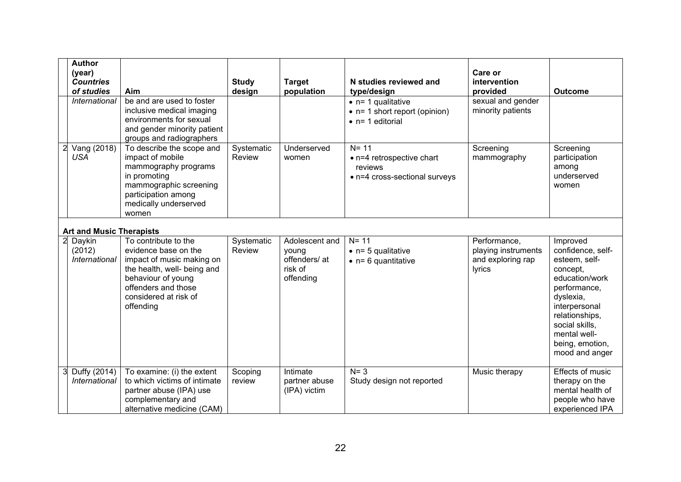| <b>Author</b><br>(year)<br><b>Countries</b><br>of studies<br>International | Aim<br>be and are used to foster<br>inclusive medical imaging<br>environments for sexual                                                                                                    | <b>Study</b><br>design | <b>Target</b><br>population                                      | N studies reviewed and<br>type/design<br>$\bullet$ n= 1 qualitative<br>$\bullet$ n= 1 short report (opinion) | Care or<br>intervention<br>provided<br>sexual and gender<br>minority patients | <b>Outcome</b>                                                                                                                                                                                                      |
|----------------------------------------------------------------------------|---------------------------------------------------------------------------------------------------------------------------------------------------------------------------------------------|------------------------|------------------------------------------------------------------|--------------------------------------------------------------------------------------------------------------|-------------------------------------------------------------------------------|---------------------------------------------------------------------------------------------------------------------------------------------------------------------------------------------------------------------|
|                                                                            | and gender minority patient<br>groups and radiographers                                                                                                                                     |                        |                                                                  | $\bullet$ n= 1 editorial                                                                                     |                                                                               |                                                                                                                                                                                                                     |
| Vang (2018)<br><b>USA</b>                                                  | To describe the scope and<br>impact of mobile<br>mammography programs<br>in promoting<br>mammographic screening<br>participation among<br>medically underserved<br>women                    | Systematic<br>Review   | Underserved<br>women                                             | $N = 11$<br>• n=4 retrospective chart<br>reviews<br>• n=4 cross-sectional surveys                            | Screening<br>mammography                                                      | Screening<br>participation<br>among<br>underserved<br>women                                                                                                                                                         |
| <b>Art and Music Therapists</b>                                            |                                                                                                                                                                                             |                        |                                                                  |                                                                                                              |                                                                               |                                                                                                                                                                                                                     |
| Daykin<br>(2012)<br>International                                          | To contribute to the<br>evidence base on the<br>impact of music making on<br>the health, well- being and<br>behaviour of young<br>offenders and those<br>considered at risk of<br>offending | Systematic<br>Review   | Adolescent and<br>young<br>offenders/ at<br>risk of<br>offending | $N = 11$<br>$\bullet$ n= 5 qualitative<br>$\bullet$ n= 6 quantitative                                        | Performance,<br>playing instruments<br>and exploring rap<br>lyrics            | Improved<br>confidence, self-<br>esteem, self-<br>concept,<br>education/work<br>performance,<br>dyslexia,<br>interpersonal<br>relationships,<br>social skills,<br>mental well-<br>being, emotion,<br>mood and anger |
| Duffy (2014)<br>International                                              | To examine: (i) the extent<br>to which victims of intimate<br>partner abuse (IPA) use<br>complementary and<br>alternative medicine (CAM)                                                    | Scoping<br>review      | Intimate<br>partner abuse<br>(IPA) victim                        | $N = 3$<br>Study design not reported                                                                         | Music therapy                                                                 | <b>Effects of music</b><br>therapy on the<br>mental health of<br>people who have<br>experienced IPA                                                                                                                 |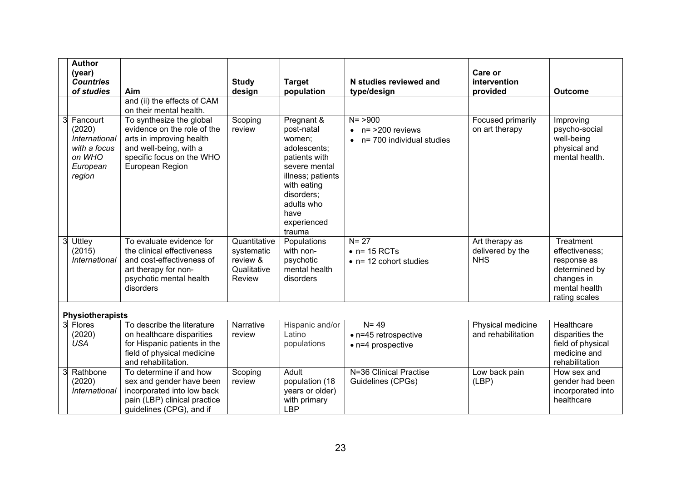|   | <b>Author</b><br>(year)<br><b>Countries</b><br>of studies                                  | Aim                                                                                                                                                           | <b>Study</b><br>design                                          | <b>Target</b><br>population                                                                                                                                                           | N studies reviewed and<br>type/design                                   | Care or<br>intervention<br>provided              | <b>Outcome</b>                                                                                              |
|---|--------------------------------------------------------------------------------------------|---------------------------------------------------------------------------------------------------------------------------------------------------------------|-----------------------------------------------------------------|---------------------------------------------------------------------------------------------------------------------------------------------------------------------------------------|-------------------------------------------------------------------------|--------------------------------------------------|-------------------------------------------------------------------------------------------------------------|
|   |                                                                                            | and (ii) the effects of CAM<br>on their mental health.                                                                                                        |                                                                 |                                                                                                                                                                                       |                                                                         |                                                  |                                                                                                             |
|   | Fancourt<br>(2020)<br><b>International</b><br>with a focus<br>on WHO<br>European<br>region | To synthesize the global<br>evidence on the role of the<br>arts in improving health<br>and well-being, with a<br>specific focus on the WHO<br>European Region | Scoping<br>review                                               | Pregnant &<br>post-natal<br>women:<br>adolescents;<br>patients with<br>severe mental<br>illness; patients<br>with eating<br>disorders;<br>adults who<br>have<br>experienced<br>trauma | $N = > 900$<br>$n = 200$ reviews<br>$\bullet$ n= 700 individual studies | Focused primarily<br>on art therapy              | Improving<br>psycho-social<br>well-being<br>physical and<br>mental health.                                  |
|   | Uttley<br>(2015)<br><b>International</b>                                                   | To evaluate evidence for<br>the clinical effectiveness<br>and cost-effectiveness of<br>art therapy for non-<br>psychotic mental health<br>disorders           | Quantitative<br>systematic<br>review &<br>Qualitative<br>Review | Populations<br>with non-<br>psychotic<br>mental health<br>disorders                                                                                                                   | $N = 27$<br>$\bullet$ n= 15 RCTs<br>$\bullet$ n= 12 cohort studies      | Art therapy as<br>delivered by the<br><b>NHS</b> | Treatment<br>effectiveness;<br>response as<br>determined by<br>changes in<br>mental health<br>rating scales |
|   | <b>Physiotherapists</b>                                                                    |                                                                                                                                                               |                                                                 |                                                                                                                                                                                       |                                                                         |                                                  |                                                                                                             |
| 3 | Flores<br>(2020)<br><b>USA</b>                                                             | To describe the literature<br>on healthcare disparities<br>for Hispanic patients in the<br>field of physical medicine<br>and rehabilitation.                  | Narrative<br>review                                             | Hispanic and/or<br>Latino<br>populations                                                                                                                                              | $N = 49$<br>$\bullet$ n=45 retrospective<br>$\bullet$ n=4 prospective   | Physical medicine<br>and rehabilitation          | Healthcare<br>disparities the<br>field of physical<br>medicine and<br>rehabilitation                        |
|   | Rathbone<br>(2020)<br>International                                                        | To determine if and how<br>sex and gender have been<br>incorporated into low back<br>pain (LBP) clinical practice<br>guidelines (CPG), and if                 | Scoping<br>review                                               | Adult<br>population (18<br>years or older)<br>with primary<br><b>LBP</b>                                                                                                              | N=36 Clinical Practise<br>Guidelines (CPGs)                             | Low back pain<br>(LBP)                           | How sex and<br>gender had been<br>incorporated into<br>healthcare                                           |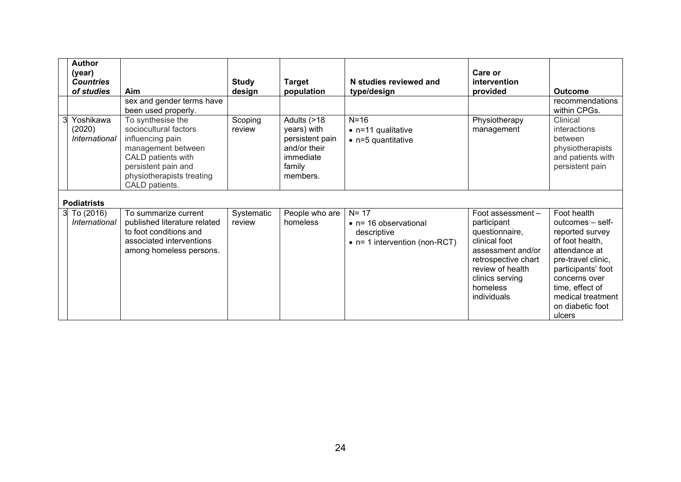| <b>Author</b><br>(year)<br><b>Countries</b><br>of studies | Aim<br>sex and gender terms have<br>been used properly.                                                                                                                          | <b>Study</b><br>design | <b>Target</b><br>population                                                                      | N studies reviewed and<br>type/design                                                             | Care or<br>intervention<br>provided                                                                                                                                               | <b>Outcome</b><br>recommendations<br>within CPGs.                                                                                                                                                                         |
|-----------------------------------------------------------|----------------------------------------------------------------------------------------------------------------------------------------------------------------------------------|------------------------|--------------------------------------------------------------------------------------------------|---------------------------------------------------------------------------------------------------|-----------------------------------------------------------------------------------------------------------------------------------------------------------------------------------|---------------------------------------------------------------------------------------------------------------------------------------------------------------------------------------------------------------------------|
| Yoshikawa<br>(2020)<br>International                      | To synthesise the<br>sociocultural factors<br>influencing pain<br>management between<br>CALD patients with<br>persistent pain and<br>physiotherapists treating<br>CALD patients. | Scoping<br>review      | Adults (>18<br>years) with<br>persistent pain<br>and/or their<br>immediate<br>family<br>members. | $N=16$<br>$\bullet$ n=11 qualitative<br>$\bullet$ n=5 quantitative                                | Physiotherapy<br>management                                                                                                                                                       | Clinical<br>interactions<br>between<br>physiotherapists<br>and patients with<br>persistent pain                                                                                                                           |
| <b>Podiatrists</b>                                        |                                                                                                                                                                                  |                        |                                                                                                  |                                                                                                   |                                                                                                                                                                                   |                                                                                                                                                                                                                           |
| $3$ To $(2016)$<br>International                          | To summarize current<br>published literature related<br>to foot conditions and<br>associated interventions<br>among homeless persons.                                            | Systematic<br>review   | People who are<br>homeless                                                                       | $N = 17$<br>$\bullet$ n= 16 observational<br>descriptive<br>$\bullet$ n= 1 intervention (non-RCT) | Foot assessment -<br>participant<br>questionnaire,<br>clinical foot<br>assessment and/or<br>retrospective chart<br>review of health<br>clinics serving<br>homeless<br>individuals | Foot health<br>outcomes - self-<br>reported survey<br>of foot health,<br>attendance at<br>pre-travel clinic,<br>participants' foot<br>concerns over<br>time, effect of<br>medical treatment<br>on diabetic foot<br>ulcers |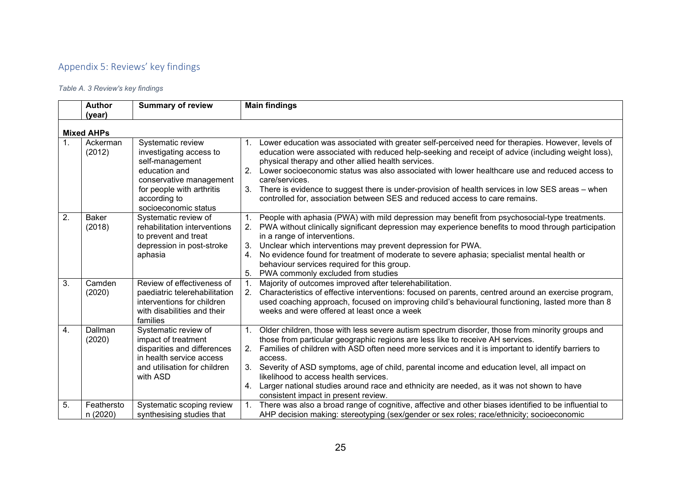# Appendix 5: Reviews' key findings

*Table A. 3 Review's key findings*

|                | <b>Author</b>          | <b>Summary of review</b>                                                                                                                                                         | <b>Main findings</b>                                                                                                                                                                                                                                                                                                                                                                                                                                                                                                                                                                                   |
|----------------|------------------------|----------------------------------------------------------------------------------------------------------------------------------------------------------------------------------|--------------------------------------------------------------------------------------------------------------------------------------------------------------------------------------------------------------------------------------------------------------------------------------------------------------------------------------------------------------------------------------------------------------------------------------------------------------------------------------------------------------------------------------------------------------------------------------------------------|
|                | (year)                 |                                                                                                                                                                                  |                                                                                                                                                                                                                                                                                                                                                                                                                                                                                                                                                                                                        |
|                | <b>Mixed AHPs</b>      |                                                                                                                                                                                  |                                                                                                                                                                                                                                                                                                                                                                                                                                                                                                                                                                                                        |
| $\mathbf{1}$ . | Ackerman<br>(2012)     | Systematic review<br>investigating access to<br>self-management<br>education and<br>conservative management<br>for people with arthritis<br>according to<br>socioeconomic status | 1. Lower education was associated with greater self-perceived need for therapies. However, levels of<br>education were associated with reduced help-seeking and receipt of advice (including weight loss),<br>physical therapy and other allied health services.<br>Lower socioeconomic status was also associated with lower healthcare use and reduced access to<br>2.<br>care/services.<br>There is evidence to suggest there is under-provision of health services in low SES areas - when<br>3.<br>controlled for, association between SES and reduced access to care remains.                    |
| 2.             | <b>Baker</b><br>(2018) | Systematic review of<br>rehabilitation interventions<br>to prevent and treat<br>depression in post-stroke<br>aphasia                                                             | People with aphasia (PWA) with mild depression may benefit from psychosocial-type treatments.<br>PWA without clinically significant depression may experience benefits to mood through participation<br>2.<br>in a range of interventions.<br>Unclear which interventions may prevent depression for PWA.<br>3.<br>No evidence found for treatment of moderate to severe aphasia; specialist mental health or<br>4.<br>behaviour services required for this group.<br>PWA commonly excluded from studies<br>5.                                                                                         |
| 3.             | Camden<br>(2020)       | Review of effectiveness of<br>paediatric telerehabilitation<br>interventions for children<br>with disabilities and their<br>families                                             | Majority of outcomes improved after telerehabilitation.<br>1.<br>Characteristics of effective interventions: focused on parents, centred around an exercise program,<br>2.<br>used coaching approach, focused on improving child's behavioural functioning, lasted more than 8<br>weeks and were offered at least once a week                                                                                                                                                                                                                                                                          |
| 4.             | Dallman<br>(2020)      | Systematic review of<br>impact of treatment<br>disparities and differences<br>in health service access<br>and utilisation for children<br>with ASD                               | Older children, those with less severe autism spectrum disorder, those from minority groups and<br>1.<br>those from particular geographic regions are less like to receive AH services.<br>Families of children with ASD often need more services and it is important to identify barriers to<br>2.<br>access.<br>Severity of ASD symptoms, age of child, parental income and education level, all impact on<br>3.<br>likelihood to access health services.<br>Larger national studies around race and ethnicity are needed, as it was not shown to have<br>4.<br>consistent impact in present review. |
| 5.             | Feathersto<br>n (2020) | Systematic scoping review<br>synthesising studies that                                                                                                                           | There was also a broad range of cognitive, affective and other biases identified to be influential to<br>1.<br>AHP decision making: stereotyping (sex/gender or sex roles; race/ethnicity; socioeconomic                                                                                                                                                                                                                                                                                                                                                                                               |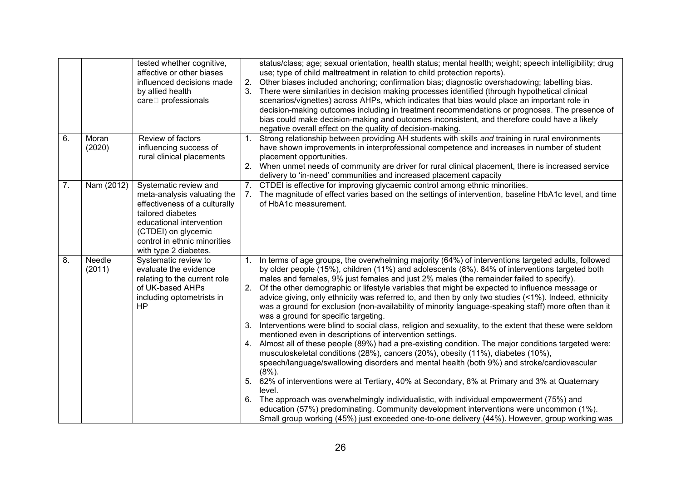|    |                  | tested whether cognitive,<br>affective or other biases<br>influenced decisions made<br>by allied health<br>care□ professionals                                                                                         | 2.<br>3.                         | status/class; age; sexual orientation, health status; mental health; weight; speech intelligibility; drug<br>use; type of child maltreatment in relation to child protection reports).<br>Other biases included anchoring; confirmation bias; diagnostic overshadowing; labelling bias.<br>There were similarities in decision making processes identified (through hypothetical clinical<br>scenarios/vignettes) across AHPs, which indicates that bias would place an important role in<br>decision-making outcomes including in treatment recommendations or prognoses. The presence of<br>bias could make decision-making and outcomes inconsistent, and therefore could have a likely<br>negative overall effect on the quality of decision-making.                                                                                                                                                                                                                                                                                                                                                                                                                                                                                                                                                                                                                                                                                                                                                                          |
|----|------------------|------------------------------------------------------------------------------------------------------------------------------------------------------------------------------------------------------------------------|----------------------------------|-----------------------------------------------------------------------------------------------------------------------------------------------------------------------------------------------------------------------------------------------------------------------------------------------------------------------------------------------------------------------------------------------------------------------------------------------------------------------------------------------------------------------------------------------------------------------------------------------------------------------------------------------------------------------------------------------------------------------------------------------------------------------------------------------------------------------------------------------------------------------------------------------------------------------------------------------------------------------------------------------------------------------------------------------------------------------------------------------------------------------------------------------------------------------------------------------------------------------------------------------------------------------------------------------------------------------------------------------------------------------------------------------------------------------------------------------------------------------------------------------------------------------------------|
| 6. | Moran<br>(2020)  | Review of factors<br>influencing success of<br>rural clinical placements                                                                                                                                               | 1.                               | Strong relationship between providing AH students with skills and training in rural environments<br>have shown improvements in interprofessional competence and increases in number of student<br>placement opportunities.<br>When unmet needs of community are driver for rural clinical placement, there is increased service<br>delivery to 'in-need' communities and increased placement capacity                                                                                                                                                                                                                                                                                                                                                                                                                                                                                                                                                                                                                                                                                                                                                                                                                                                                                                                                                                                                                                                                                                                             |
| 7. | Nam (2012)       | Systematic review and<br>meta-analysis valuating the<br>effectiveness of a culturally<br>tailored diabetes<br>educational intervention<br>(CTDEI) on glycemic<br>control in ethnic minorities<br>with type 2 diabetes. | 7.                               | CTDEI is effective for improving glycaemic control among ethnic minorities.<br>The magnitude of effect varies based on the settings of intervention, baseline HbA1c level, and time<br>of HbA1c measurement.                                                                                                                                                                                                                                                                                                                                                                                                                                                                                                                                                                                                                                                                                                                                                                                                                                                                                                                                                                                                                                                                                                                                                                                                                                                                                                                      |
| 8. | Needle<br>(2011) | Systematic review to<br>evaluate the evidence<br>relating to the current role<br>of UK-based AHPs<br>including optometrists in<br>HP                                                                                   | 1.<br>2.<br>3.<br>4.<br>5.<br>6. | In terms of age groups, the overwhelming majority (64%) of interventions targeted adults, followed<br>by older people (15%), children (11%) and adolescents (8%). 84% of interventions targeted both<br>males and females, 9% just females and just 2% males (the remainder failed to specify).<br>Of the other demographic or lifestyle variables that might be expected to influence message or<br>advice giving, only ethnicity was referred to, and then by only two studies (<1%). Indeed, ethnicity<br>was a ground for exclusion (non-availability of minority language-speaking staff) more often than it<br>was a ground for specific targeting.<br>Interventions were blind to social class, religion and sexuality, to the extent that these were seldom<br>mentioned even in descriptions of intervention settings.<br>Almost all of these people (89%) had a pre-existing condition. The major conditions targeted were:<br>musculoskeletal conditions (28%), cancers (20%), obesity (11%), diabetes (10%),<br>speech/language/swallowing disorders and mental health (both 9%) and stroke/cardiovascular<br>$(8\%)$ .<br>62% of interventions were at Tertiary, 40% at Secondary, 8% at Primary and 3% at Quaternary<br>level.<br>The approach was overwhelmingly individualistic, with individual empowerment (75%) and<br>education (57%) predominating. Community development interventions were uncommon (1%).<br>Small group working (45%) just exceeded one-to-one delivery (44%). However, group working was |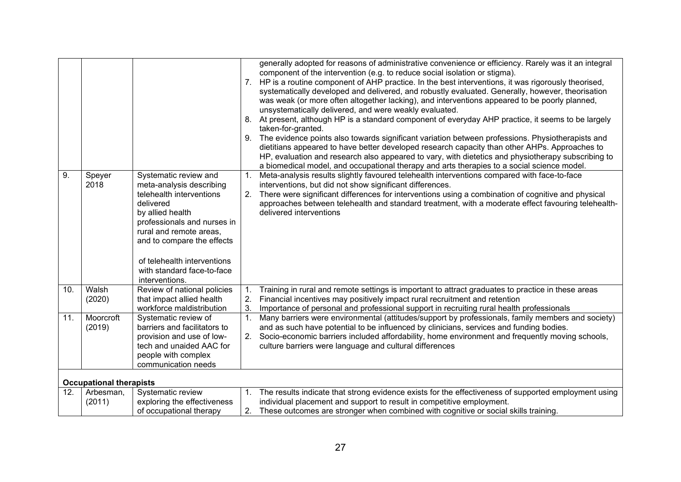|     |                                |                                                                                                                                                                                                                                                                                       | 7.<br>9.       | generally adopted for reasons of administrative convenience or efficiency. Rarely was it an integral<br>component of the intervention (e.g. to reduce social isolation or stigma).<br>HP is a routine component of AHP practice. In the best interventions, it was rigorously theorised,<br>systematically developed and delivered, and robustly evaluated. Generally, however, theorisation<br>was weak (or more often altogether lacking), and interventions appeared to be poorly planned,<br>unsystematically delivered, and were weakly evaluated.<br>8. At present, although HP is a standard component of everyday AHP practice, it seems to be largely<br>taken-for-granted.<br>The evidence points also towards significant variation between professions. Physiotherapists and<br>dietitians appeared to have better developed research capacity than other AHPs. Approaches to<br>HP, evaluation and research also appeared to vary, with dietetics and physiotherapy subscribing to<br>a biomedical model, and occupational therapy and arts therapies to a social science model. |
|-----|--------------------------------|---------------------------------------------------------------------------------------------------------------------------------------------------------------------------------------------------------------------------------------------------------------------------------------|----------------|-----------------------------------------------------------------------------------------------------------------------------------------------------------------------------------------------------------------------------------------------------------------------------------------------------------------------------------------------------------------------------------------------------------------------------------------------------------------------------------------------------------------------------------------------------------------------------------------------------------------------------------------------------------------------------------------------------------------------------------------------------------------------------------------------------------------------------------------------------------------------------------------------------------------------------------------------------------------------------------------------------------------------------------------------------------------------------------------------|
| 9.  | Speyer<br>2018                 | Systematic review and<br>meta-analysis describing<br>telehealth interventions<br>delivered<br>by allied health<br>professionals and nurses in<br>rural and remote areas,<br>and to compare the effects<br>of telehealth interventions<br>with standard face-to-face<br>interventions. | 1.<br>2.       | Meta-analysis results slightly favoured telehealth interventions compared with face-to-face<br>interventions, but did not show significant differences.<br>There were significant differences for interventions using a combination of cognitive and physical<br>approaches between telehealth and standard treatment, with a moderate effect favouring telehealth-<br>delivered interventions                                                                                                                                                                                                                                                                                                                                                                                                                                                                                                                                                                                                                                                                                                |
| 10. | Walsh<br>(2020)                | Review of national policies<br>that impact allied health<br>workforce maldistribution                                                                                                                                                                                                 | 1.<br>2.<br>3. | Training in rural and remote settings is important to attract graduates to practice in these areas<br>Financial incentives may positively impact rural recruitment and retention<br>Importance of personal and professional support in recruiting rural health professionals                                                                                                                                                                                                                                                                                                                                                                                                                                                                                                                                                                                                                                                                                                                                                                                                                  |
| 11. | Moorcroft<br>(2019)            | Systematic review of<br>barriers and facilitators to<br>provision and use of low-<br>tech and unaided AAC for<br>people with complex<br>communication needs                                                                                                                           | 1.<br>2.       | Many barriers were environmental (attitudes/support by professionals, family members and society)<br>and as such have potential to be influenced by clinicians, services and funding bodies.<br>Socio-economic barriers included affordability, home environment and frequently moving schools,<br>culture barriers were language and cultural differences                                                                                                                                                                                                                                                                                                                                                                                                                                                                                                                                                                                                                                                                                                                                    |
|     | <b>Occupational therapists</b> |                                                                                                                                                                                                                                                                                       |                |                                                                                                                                                                                                                                                                                                                                                                                                                                                                                                                                                                                                                                                                                                                                                                                                                                                                                                                                                                                                                                                                                               |
| 12. | Arbesman,<br>(2011)            | Systematic review<br>exploring the effectiveness<br>of occupational therapy                                                                                                                                                                                                           |                | 1. The results indicate that strong evidence exists for the effectiveness of supported employment using<br>individual placement and support to result in competitive employment.<br>2. These outcomes are stronger when combined with cognitive or social skills training.                                                                                                                                                                                                                                                                                                                                                                                                                                                                                                                                                                                                                                                                                                                                                                                                                    |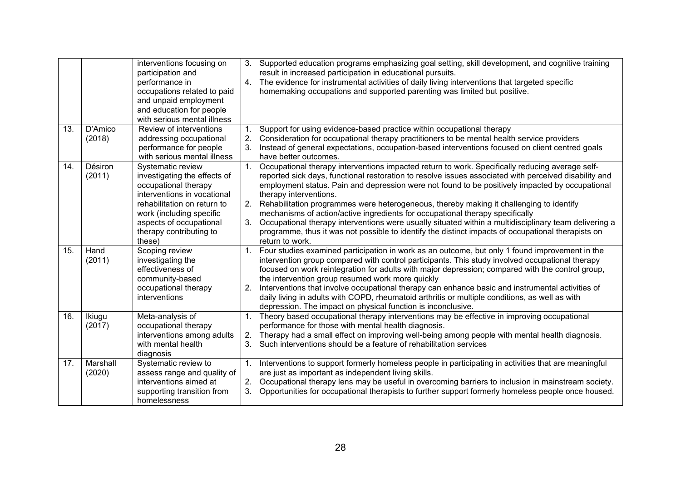|     |                    | interventions focusing on<br>participation and<br>performance in<br>occupations related to paid<br>and unpaid employment<br>and education for people<br>with serious mental illness                                                 | 3.<br>4.                   | Supported education programs emphasizing goal setting, skill development, and cognitive training<br>result in increased participation in educational pursuits.<br>The evidence for instrumental activities of daily living interventions that targeted specific<br>homemaking occupations and supported parenting was limited but positive.                                                                                                                                                                                                                                                                                                                                                                                                         |
|-----|--------------------|-------------------------------------------------------------------------------------------------------------------------------------------------------------------------------------------------------------------------------------|----------------------------|-----------------------------------------------------------------------------------------------------------------------------------------------------------------------------------------------------------------------------------------------------------------------------------------------------------------------------------------------------------------------------------------------------------------------------------------------------------------------------------------------------------------------------------------------------------------------------------------------------------------------------------------------------------------------------------------------------------------------------------------------------|
| 13. | D'Amico<br>(2018)  | Review of interventions<br>addressing occupational<br>performance for people<br>with serious mental illness                                                                                                                         | 1.<br>2.<br>3.             | Support for using evidence-based practice within occupational therapy<br>Consideration for occupational therapy practitioners to be mental health service providers<br>Instead of general expectations, occupation-based interventions focused on client centred goals<br>have better outcomes.                                                                                                                                                                                                                                                                                                                                                                                                                                                     |
| 14. | Désiron<br>(2011)  | Systematic review<br>investigating the effects of<br>occupational therapy<br>interventions in vocational<br>rehabilitation on return to<br>work (including specific<br>aspects of occupational<br>therapy contributing to<br>these) | 1 <sub>1</sub><br>2.<br>3. | Occupational therapy interventions impacted return to work. Specifically reducing average self-<br>reported sick days, functional restoration to resolve issues associated with perceived disability and<br>employment status. Pain and depression were not found to be positively impacted by occupational<br>therapy interventions.<br>Rehabilitation programmes were heterogeneous, thereby making it challenging to identify<br>mechanisms of action/active ingredients for occupational therapy specifically<br>Occupational therapy interventions were usually situated within a multidisciplinary team delivering a<br>programme, thus it was not possible to identify the distinct impacts of occupational therapists on<br>return to work. |
| 15. | Hand<br>(2011)     | Scoping review<br>investigating the<br>effectiveness of<br>community-based<br>occupational therapy<br>interventions                                                                                                                 | 1.<br>2.                   | Four studies examined participation in work as an outcome, but only 1 found improvement in the<br>intervention group compared with control participants. This study involved occupational therapy<br>focused on work reintegration for adults with major depression; compared with the control group,<br>the intervention group resumed work more quickly<br>Interventions that involve occupational therapy can enhance basic and instrumental activities of<br>daily living in adults with COPD, rheumatoid arthritis or multiple conditions, as well as with<br>depression. The impact on physical function is inconclusive.                                                                                                                     |
| 16. | Ikiugu<br>(2017)   | Meta-analysis of<br>occupational therapy<br>interventions among adults<br>with mental health<br>diagnosis                                                                                                                           | 1.<br>2.<br>3.             | Theory based occupational therapy interventions may be effective in improving occupational<br>performance for those with mental health diagnosis.<br>Therapy had a small effect on improving well-being among people with mental health diagnosis.<br>Such interventions should be a feature of rehabilitation services                                                                                                                                                                                                                                                                                                                                                                                                                             |
| 17. | Marshall<br>(2020) | Systematic review to<br>assess range and quality of<br>interventions aimed at<br>supporting transition from<br>homelessness                                                                                                         | 1.<br>2.<br>3.             | Interventions to support formerly homeless people in participating in activities that are meaningful<br>are just as important as independent living skills.<br>Occupational therapy lens may be useful in overcoming barriers to inclusion in mainstream society.<br>Opportunities for occupational therapists to further support formerly homeless people once housed.                                                                                                                                                                                                                                                                                                                                                                             |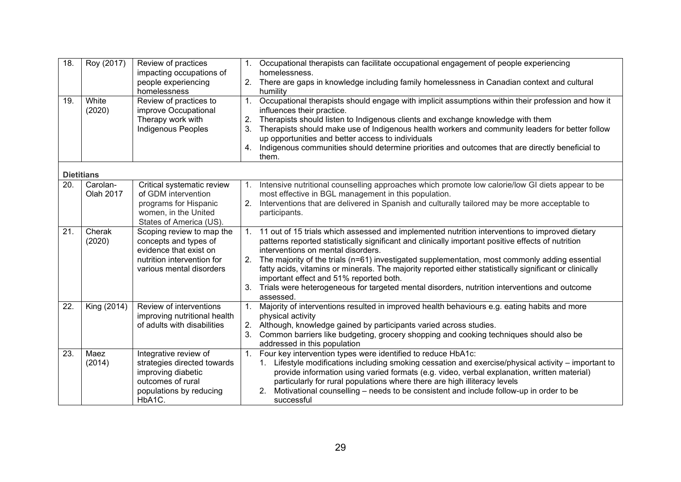| 18.<br>19. | Roy (2017)<br>White   | Review of practices<br>impacting occupations of<br>people experiencing<br>homelessness<br>Review of practices to                       | 1.<br>2.<br>1. | Occupational therapists can facilitate occupational engagement of people experiencing<br>homelessness.<br>There are gaps in knowledge including family homelessness in Canadian context and cultural<br>humility<br>Occupational therapists should engage with implicit assumptions within their profession and how it                                                                                                                                                                                                                                                                                          |
|------------|-----------------------|----------------------------------------------------------------------------------------------------------------------------------------|----------------|-----------------------------------------------------------------------------------------------------------------------------------------------------------------------------------------------------------------------------------------------------------------------------------------------------------------------------------------------------------------------------------------------------------------------------------------------------------------------------------------------------------------------------------------------------------------------------------------------------------------|
|            | (2020)                | improve Occupational<br>Therapy work with<br>Indigenous Peoples                                                                        | 2.<br>3.<br>4. | influences their practice.<br>Therapists should listen to Indigenous clients and exchange knowledge with them<br>Therapists should make use of Indigenous health workers and community leaders for better follow<br>up opportunities and better access to individuals<br>Indigenous communities should determine priorities and outcomes that are directly beneficial to<br>them.                                                                                                                                                                                                                               |
|            | <b>Dietitians</b>     |                                                                                                                                        |                |                                                                                                                                                                                                                                                                                                                                                                                                                                                                                                                                                                                                                 |
| 20.        | Carolan-<br>Olah 2017 | Critical systematic review<br>of GDM intervention<br>programs for Hispanic<br>women, in the United<br>States of America (US).          | 1.<br>2.       | Intensive nutritional counselling approaches which promote low calorie/low GI diets appear to be<br>most effective in BGL management in this population.<br>Interventions that are delivered in Spanish and culturally tailored may be more acceptable to<br>participants.                                                                                                                                                                                                                                                                                                                                      |
| 21.        | Cherak<br>(2020)      | Scoping review to map the<br>concepts and types of<br>evidence that exist on<br>nutrition intervention for<br>various mental disorders | 1.<br>2.<br>3. | 11 out of 15 trials which assessed and implemented nutrition interventions to improved dietary<br>patterns reported statistically significant and clinically important positive effects of nutrition<br>interventions on mental disorders.<br>The majority of the trials (n=61) investigated supplementation, most commonly adding essential<br>fatty acids, vitamins or minerals. The majority reported either statistically significant or clinically<br>important effect and 51% reported both.<br>Trials were heterogeneous for targeted mental disorders, nutrition interventions and outcome<br>assessed. |
| 22.        | King (2014)           | Review of interventions<br>improving nutritional health<br>of adults with disabilities                                                 | 1.<br>2.<br>3. | Majority of interventions resulted in improved health behaviours e.g. eating habits and more<br>physical activity<br>Although, knowledge gained by participants varied across studies.<br>Common barriers like budgeting, grocery shopping and cooking techniques should also be<br>addressed in this population                                                                                                                                                                                                                                                                                                |
| 23.        | Maez<br>(2014)        | Integrative review of<br>strategies directed towards<br>improving diabetic<br>outcomes of rural<br>populations by reducing<br>HbA1C.   | 1.             | Four key intervention types were identified to reduce HbA1c:<br>Lifestyle modifications including smoking cessation and exercise/physical activity – important to<br>$1_{\cdot}$<br>provide information using varied formats (e.g. video, verbal explanation, written material)<br>particularly for rural populations where there are high illiteracy levels<br>Motivational counselling – needs to be consistent and include follow-up in order to be<br>2.<br>successful                                                                                                                                      |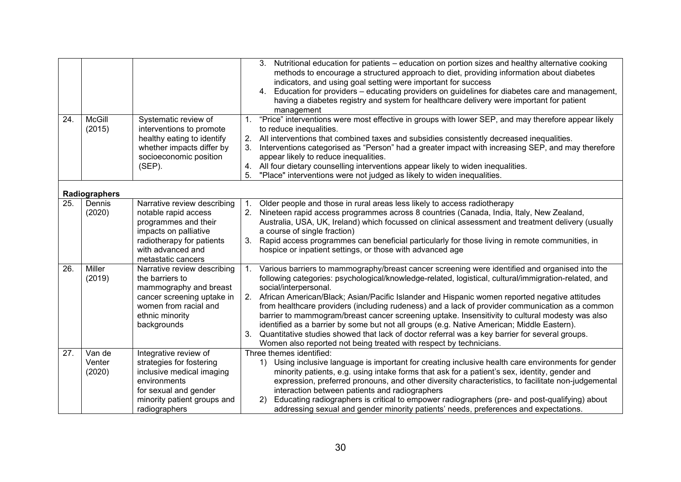| 24. | <b>McGill</b><br>(2015)    | Systematic review of<br>interventions to promote<br>healthy eating to identify<br>whether impacts differ by                                                                  | Nutritional education for patients - education on portion sizes and healthy alternative cooking<br>3.<br>methods to encourage a structured approach to diet, providing information about diabetes<br>indicators, and using goal setting were important for success<br>Education for providers – educating providers on guidelines for diabetes care and management,<br>4.<br>having a diabetes registry and system for healthcare delivery were important for patient<br>management<br>"Price" interventions were most effective in groups with lower SEP, and may therefore appear likely<br>$1_{\cdot}$<br>to reduce inequalities.<br>2.<br>All interventions that combined taxes and subsidies consistently decreased inequalities.<br>Interventions categorised as "Person" had a greater impact with increasing SEP, and may therefore<br>3. |
|-----|----------------------------|------------------------------------------------------------------------------------------------------------------------------------------------------------------------------|---------------------------------------------------------------------------------------------------------------------------------------------------------------------------------------------------------------------------------------------------------------------------------------------------------------------------------------------------------------------------------------------------------------------------------------------------------------------------------------------------------------------------------------------------------------------------------------------------------------------------------------------------------------------------------------------------------------------------------------------------------------------------------------------------------------------------------------------------|
|     |                            | socioeconomic position<br>$(SEP)$ .                                                                                                                                          | appear likely to reduce inequalities.<br>4. All four dietary counselling interventions appear likely to widen inequalities.                                                                                                                                                                                                                                                                                                                                                                                                                                                                                                                                                                                                                                                                                                                       |
|     |                            |                                                                                                                                                                              | 5.<br>"Place" interventions were not judged as likely to widen inequalities.                                                                                                                                                                                                                                                                                                                                                                                                                                                                                                                                                                                                                                                                                                                                                                      |
|     | Radiographers              |                                                                                                                                                                              |                                                                                                                                                                                                                                                                                                                                                                                                                                                                                                                                                                                                                                                                                                                                                                                                                                                   |
| 25. | Dennis<br>(2020)           | Narrative review describing<br>notable rapid access<br>programmes and their<br>impacts on palliative<br>radiotherapy for patients<br>with advanced and<br>metastatic cancers | Older people and those in rural areas less likely to access radiotherapy<br>1.<br>Nineteen rapid access programmes across 8 countries (Canada, India, Italy, New Zealand,<br>2.<br>Australia, USA, UK, Ireland) which focussed on clinical assessment and treatment delivery (usually<br>a course of single fraction)<br>Rapid access programmes can beneficial particularly for those living in remote communities, in<br>3.<br>hospice or inpatient settings, or those with advanced age                                                                                                                                                                                                                                                                                                                                                        |
| 26. | Miller<br>(2019)           | Narrative review describing<br>the barriers to<br>mammography and breast<br>cancer screening uptake in<br>women from racial and<br>ethnic minority<br>backgrounds            | Various barriers to mammography/breast cancer screening were identified and organised into the<br>1.<br>following categories: psychological/knowledge-related, logistical, cultural/immigration-related, and<br>social/interpersonal.<br>2.<br>African American/Black; Asian/Pacific Islander and Hispanic women reported negative attitudes<br>from healthcare providers (including rudeness) and a lack of provider communication as a common<br>barrier to mammogram/breast cancer screening uptake. Insensitivity to cultural modesty was also<br>identified as a barrier by some but not all groups (e.g. Native American; Middle Eastern).<br>3.<br>Quantitative studies showed that lack of doctor referral was a key barrier for several groups.<br>Women also reported not being treated with respect by technicians.                    |
| 27. | Van de<br>Venter<br>(2020) | Integrative review of<br>strategies for fostering<br>inclusive medical imaging<br>environments<br>for sexual and gender<br>minority patient groups and<br>radiographers      | Three themes identified:<br>1) Using inclusive language is important for creating inclusive health care environments for gender<br>minority patients, e.g. using intake forms that ask for a patient's sex, identity, gender and<br>expression, preferred pronouns, and other diversity characteristics, to facilitate non-judgemental<br>interaction between patients and radiographers<br>Educating radiographers is critical to empower radiographers (pre- and post-qualifying) about<br>(2)<br>addressing sexual and gender minority patients' needs, preferences and expectations.                                                                                                                                                                                                                                                          |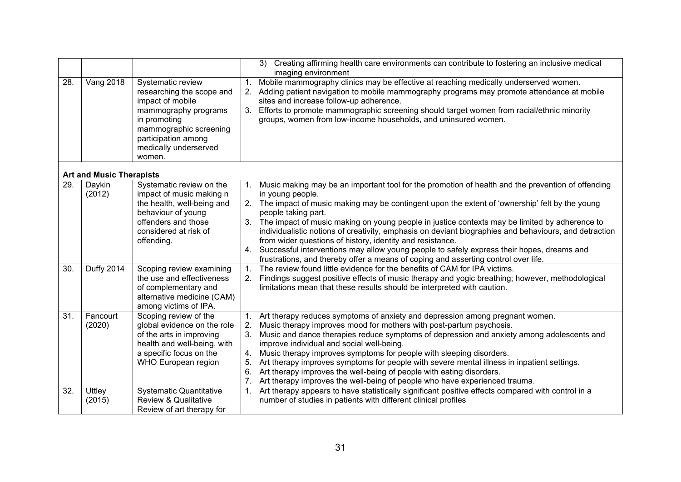|     |                                 |                                                                                                                                                                                                |                                        | Creating affirming health care environments can contribute to fostering an inclusive medical<br>3)<br>imaging environment                                                                                                                                                                                                                                                                                                                                                                                                                                                                                                                                                                                  |
|-----|---------------------------------|------------------------------------------------------------------------------------------------------------------------------------------------------------------------------------------------|----------------------------------------|------------------------------------------------------------------------------------------------------------------------------------------------------------------------------------------------------------------------------------------------------------------------------------------------------------------------------------------------------------------------------------------------------------------------------------------------------------------------------------------------------------------------------------------------------------------------------------------------------------------------------------------------------------------------------------------------------------|
| 28. | <b>Vang 2018</b>                | Systematic review<br>researching the scope and<br>impact of mobile<br>mammography programs<br>in promoting<br>mammographic screening<br>participation among<br>medically underserved<br>women. | 1.<br>3.                               | Mobile mammography clinics may be effective at reaching medically underserved women.<br>Adding patient navigation to mobile mammography programs may promote attendance at mobile<br>sites and increase follow-up adherence.<br>Efforts to promote mammographic screening should target women from racial/ethnic minority<br>groups, women from low-income households, and uninsured women.                                                                                                                                                                                                                                                                                                                |
|     | <b>Art and Music Therapists</b> |                                                                                                                                                                                                |                                        |                                                                                                                                                                                                                                                                                                                                                                                                                                                                                                                                                                                                                                                                                                            |
| 29. | Daykin<br>(2012)                | Systematic review on the<br>impact of music making n<br>the health, well-being and<br>behaviour of young<br>offenders and those<br>considered at risk of<br>offending.                         | 1.<br>3.<br>4.                         | Music making may be an important tool for the promotion of health and the prevention of offending<br>in young people.<br>2. The impact of music making may be contingent upon the extent of 'ownership' felt by the young<br>people taking part.<br>The impact of music making on young people in justice contexts may be limited by adherence to<br>individualistic notions of creativity, emphasis on deviant biographies and behaviours, and detraction<br>from wider questions of history, identity and resistance.<br>Successful interventions may allow young people to safely express their hopes, dreams and<br>frustrations, and thereby offer a means of coping and asserting control over life. |
| 30. | <b>Duffy 2014</b>               | Scoping review examining<br>the use and effectiveness<br>of complementary and<br>alternative medicine (CAM)<br>among victims of IPA.                                                           | $\mathbf{1}$ .<br>2.                   | The review found little evidence for the benefits of CAM for IPA victims.<br>Findings suggest positive effects of music therapy and yogic breathing; however, methodological<br>limitations mean that these results should be interpreted with caution.                                                                                                                                                                                                                                                                                                                                                                                                                                                    |
| 31. | Fancourt<br>(2020)              | Scoping review of the<br>global evidence on the role<br>of the arts in improving<br>health and well-being, with<br>a specific focus on the<br><b>WHO European region</b>                       | 1.<br>2.<br>3.<br>4.<br>5.<br>6.<br>7. | Art therapy reduces symptoms of anxiety and depression among pregnant women.<br>Music therapy improves mood for mothers with post-partum psychosis.<br>Music and dance therapies reduce symptoms of depression and anxiety among adolescents and<br>improve individual and social well-being.<br>Music therapy improves symptoms for people with sleeping disorders.<br>Art therapy improves symptoms for people with severe mental illness in inpatient settings.<br>Art therapy improves the well-being of people with eating disorders.<br>Art therapy improves the well-being of people who have experienced trauma.                                                                                   |
| 32. | Uttley<br>(2015)                | <b>Systematic Quantitative</b><br><b>Review &amp; Qualitative</b><br>Review of art therapy for                                                                                                 | 1.                                     | Art therapy appears to have statistically significant positive effects compared with control in a<br>number of studies in patients with different clinical profiles                                                                                                                                                                                                                                                                                                                                                                                                                                                                                                                                        |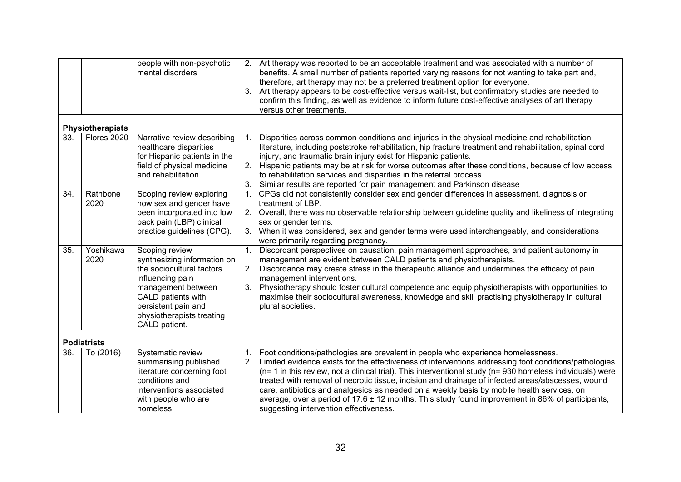|     |                         | people with non-psychotic<br>mental disorders                                                                                                                                                                   | 2.<br>3.       | Art therapy was reported to be an acceptable treatment and was associated with a number of<br>benefits. A small number of patients reported varying reasons for not wanting to take part and,<br>therefore, art therapy may not be a preferred treatment option for everyone.<br>Art therapy appears to be cost-effective versus wait-list, but confirmatory studies are needed to<br>confirm this finding, as well as evidence to inform future cost-effective analyses of art therapy<br>versus other treatments.                                                                                                                                             |
|-----|-------------------------|-----------------------------------------------------------------------------------------------------------------------------------------------------------------------------------------------------------------|----------------|-----------------------------------------------------------------------------------------------------------------------------------------------------------------------------------------------------------------------------------------------------------------------------------------------------------------------------------------------------------------------------------------------------------------------------------------------------------------------------------------------------------------------------------------------------------------------------------------------------------------------------------------------------------------|
|     | <b>Physiotherapists</b> |                                                                                                                                                                                                                 |                |                                                                                                                                                                                                                                                                                                                                                                                                                                                                                                                                                                                                                                                                 |
| 33. | Flores 2020             | Narrative review describing<br>healthcare disparities<br>for Hispanic patients in the<br>field of physical medicine<br>and rehabilitation.                                                                      | 1.<br>2.<br>3. | Disparities across common conditions and injuries in the physical medicine and rehabilitation<br>literature, including poststroke rehabilitation, hip fracture treatment and rehabilitation, spinal cord<br>injury, and traumatic brain injury exist for Hispanic patients.<br>Hispanic patients may be at risk for worse outcomes after these conditions, because of low access<br>to rehabilitation services and disparities in the referral process.<br>Similar results are reported for pain management and Parkinson disease                                                                                                                               |
| 34. | Rathbone<br>2020        | Scoping review exploring<br>how sex and gender have<br>been incorporated into low<br>back pain (LBP) clinical<br>practice guidelines (CPG).                                                                     | 3.             | 1. CPGs did not consistently consider sex and gender differences in assessment, diagnosis or<br>treatment of LBP.<br>2. Overall, there was no observable relationship between guideline quality and likeliness of integrating<br>sex or gender terms.<br>When it was considered, sex and gender terms were used interchangeably, and considerations<br>were primarily regarding pregnancy.                                                                                                                                                                                                                                                                      |
| 35. | Yoshikawa<br>2020       | Scoping review<br>synthesizing information on<br>the sociocultural factors<br>influencing pain<br>management between<br>CALD patients with<br>persistent pain and<br>physiotherapists treating<br>CALD patient. | 1.<br>2.<br>3. | Discordant perspectives on causation, pain management approaches, and patient autonomy in<br>management are evident between CALD patients and physiotherapists.<br>Discordance may create stress in the therapeutic alliance and undermines the efficacy of pain<br>management interventions.<br>Physiotherapy should foster cultural competence and equip physiotherapists with opportunities to<br>maximise their sociocultural awareness, knowledge and skill practising physiotherapy in cultural<br>plural societies.                                                                                                                                      |
|     | <b>Podiatrists</b>      |                                                                                                                                                                                                                 |                |                                                                                                                                                                                                                                                                                                                                                                                                                                                                                                                                                                                                                                                                 |
| 36. | To (2016)               | Systematic review<br>summarising published<br>literature concerning foot<br>conditions and<br>interventions associated<br>with people who are<br>homeless                                                       | 1.<br>2.       | Foot conditions/pathologies are prevalent in people who experience homelessness.<br>Limited evidence exists for the effectiveness of interventions addressing foot conditions/pathologies<br>$(n=1)$ in this review, not a clinical trial). This interventional study $(n=930)$ homeless individuals) were<br>treated with removal of necrotic tissue, incision and drainage of infected areas/abscesses, wound<br>care, antibiotics and analgesics as needed on a weekly basis by mobile health services, on<br>average, over a period of $17.6 \pm 12$ months. This study found improvement in 86% of participants,<br>suggesting intervention effectiveness. |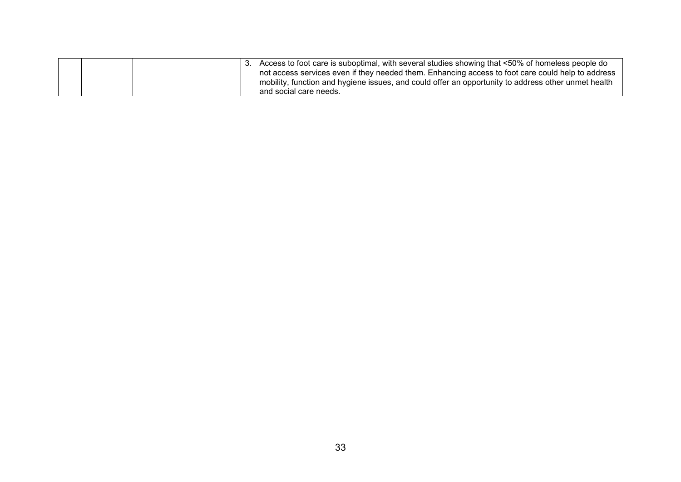|  |  | Access to foot care is suboptimal, with several studies showing that <50% of homeless people do     |
|--|--|-----------------------------------------------------------------------------------------------------|
|  |  | not access services even if they needed them. Enhancing access to foot care could help to address   |
|  |  | mobility, function and hygiene issues, and could offer an opportunity to address other unmet health |
|  |  | and social care needs.                                                                              |